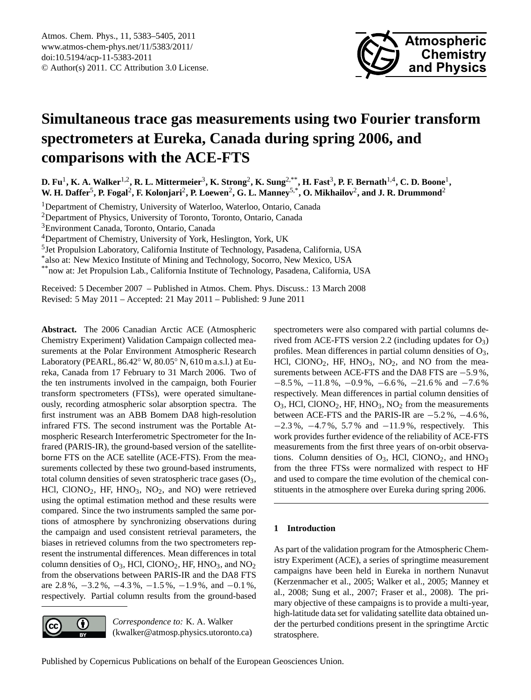

# <span id="page-0-0"></span>**Simultaneous trace gas measurements using two Fourier transform spectrometers at Eureka, Canada during spring 2006, and comparisons with the ACE-FTS**

 ${\bf D.}$  Fu<sup>1</sup>, K. A. Walker<sup>1,2</sup>, R. L. Mittermeier $^3$ , K. Strong<sup>2</sup>, K. Sung<sup>2,\*\*</sup>, H. Fast $^3$ , P. F. Bernath<sup>1,4</sup>, C. D. Boone<sup>1</sup>, **W. H. Daffer**<sup>5</sup> **, P. Fogal**<sup>2</sup> **, F. Kolonjari**<sup>2</sup> **, P. Loewen**<sup>2</sup> **, G. L. Manney**5,\***, O. Mikhailov**<sup>2</sup> **, and J. R. Drummond**<sup>2</sup>

<sup>1</sup>Department of Chemistry, University of Waterloo, Waterloo, Ontario, Canada

<sup>2</sup>Department of Physics, University of Toronto, Toronto, Ontario, Canada

<sup>3</sup>Environment Canada, Toronto, Ontario, Canada

<sup>4</sup>Department of Chemistry, University of York, Heslington, York, UK

5 Jet Propulsion Laboratory, California Institute of Technology, Pasadena, California, USA

\* also at: New Mexico Institute of Mining and Technology, Socorro, New Mexico, USA

\*\*now at: Jet Propulsion Lab., California Institute of Technology, Pasadena, California, USA

Received: 5 December 2007 – Published in Atmos. Chem. Phys. Discuss.: 13 March 2008 Revised: 5 May 2011 – Accepted: 21 May 2011 – Published: 9 June 2011

**Abstract.** The 2006 Canadian Arctic ACE (Atmospheric Chemistry Experiment) Validation Campaign collected measurements at the Polar Environment Atmospheric Research Laboratory (PEARL, 86.42◦ W, 80.05◦ N, 610 m a.s.l.) at Eureka, Canada from 17 February to 31 March 2006. Two of the ten instruments involved in the campaign, both Fourier transform spectrometers (FTSs), were operated simultaneously, recording atmospheric solar absorption spectra. The first instrument was an ABB Bomem DA8 high-resolution infrared FTS. The second instrument was the Portable Atmospheric Research Interferometric Spectrometer for the Infrared (PARIS-IR), the ground-based version of the satelliteborne FTS on the ACE satellite (ACE-FTS). From the measurements collected by these two ground-based instruments, total column densities of seven stratospheric trace gases  $(O_3,$ HCl, ClONO<sub>2</sub>, HF, HNO<sub>3</sub>, NO<sub>2</sub>, and NO) were retrieved using the optimal estimation method and these results were compared. Since the two instruments sampled the same portions of atmosphere by synchronizing observations during the campaign and used consistent retrieval parameters, the biases in retrieved columns from the two spectrometers represent the instrumental differences. Mean differences in total column densities of  $O_3$ , HCl, ClONO<sub>2</sub>, HF, HNO<sub>3</sub>, and NO<sub>2</sub> from the observations between PARIS-IR and the DA8 FTS are  $2.8\%, -3.2\%, -4.3\%, -1.5\%, -1.9\%, \text{ and } -0.1\%,$ respectively. Partial column results from the ground-based



*Correspondence to:* K. A. Walker (kwalker@atmosp.physics.utoronto.ca) spectrometers were also compared with partial columns derived from ACE-FTS version 2.2 (including updates for  $O_3$ ) profiles. Mean differences in partial column densities of  $O_3$ , HCl, ClONO<sub>2</sub>, HF, HNO<sub>3</sub>, NO<sub>2</sub>, and NO from the measurements between ACE-FTS and the DA8 FTS are −5.9 %, −8.5 %, −11.8 %, −0.9 %, −6.6 %, −21.6 % and −7.6 % respectively. Mean differences in partial column densities of  $O_3$ , HCl, ClONO<sub>2</sub>, HF, HNO<sub>3</sub>, NO<sub>2</sub> from the measurements between ACE-FTS and the PARIS-IR are  $-5.2\%$ ,  $-4.6\%$ , −2.3 %, −4.7 %, 5.7 % and −11.9 %, respectively. This work provides further evidence of the reliability of ACE-FTS measurements from the first three years of on-orbit observations. Column densities of  $O_3$ , HCl, ClON $O_2$ , and HN $O_3$ from the three FTSs were normalized with respect to HF and used to compare the time evolution of the chemical constituents in the atmosphere over Eureka during spring 2006.

## **1 Introduction**

As part of the validation program for the Atmospheric Chemistry Experiment (ACE), a series of springtime measurement campaigns have been held in Eureka in northern Nunavut (Kerzenmacher et al., 2005; Walker et al., 2005; Manney et al., 2008; Sung et al., 2007; Fraser et al., 2008). The primary objective of these campaigns is to provide a multi-year, high-latitude data set for validating satellite data obtained under the perturbed conditions present in the springtime Arctic stratosphere.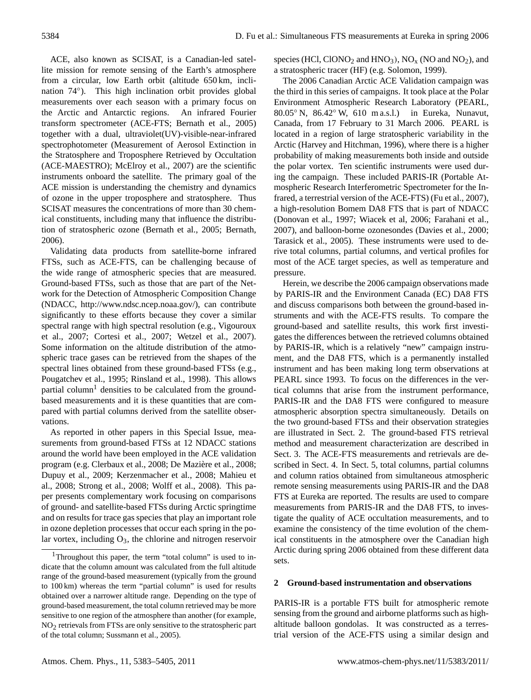ACE, also known as SCISAT, is a Canadian-led satellite mission for remote sensing of the Earth's atmosphere from a circular, low Earth orbit (altitude 650 km, inclination 74◦ ). This high inclination orbit provides global measurements over each season with a primary focus on the Arctic and Antarctic regions. An infrared Fourier transform spectrometer (ACE-FTS; Bernath et al., 2005) together with a dual, ultraviolet(UV)-visible-near-infrared spectrophotometer (Measurement of Aerosol Extinction in the Stratosphere and Troposphere Retrieved by Occultation (ACE-MAESTRO); McElroy et al., 2007) are the scientific instruments onboard the satellite. The primary goal of the ACE mission is understanding the chemistry and dynamics of ozone in the upper troposphere and stratosphere. Thus SCISAT measures the concentrations of more than 30 chemical constituents, including many that influence the distribution of stratospheric ozone (Bernath et al., 2005; Bernath, 2006).

Validating data products from satellite-borne infrared FTSs, such as ACE-FTS, can be challenging because of the wide range of atmospheric species that are measured. Ground-based FTSs, such as those that are part of the Network for the Detection of Atmospheric Composition Change (NDACC, [http://www.ndsc.ncep.noaa.gov/\)](http://www.ndsc.ncep.noaa.gov/), can contribute significantly to these efforts because they cover a similar spectral range with high spectral resolution (e.g., Vigouroux et al., 2007; Cortesi et al., 2007; Wetzel et al., 2007). Some information on the altitude distribution of the atmospheric trace gases can be retrieved from the shapes of the spectral lines obtained from these ground-based FTSs (e.g., Pougatchev et al., 1995; Rinsland et al., 1998). This allows partial column<sup>[1](#page-1-0)</sup> densities to be calculated from the groundbased measurements and it is these quantities that are compared with partial columns derived from the satellite observations.

As reported in other papers in this Special Issue, measurements from ground-based FTSs at 12 NDACC stations around the world have been employed in the ACE validation program (e.g. Clerbaux et al., 2008; De Maziere et al., 2008; ` Dupuy et al., 2009; Kerzenmacher et al., 2008; Mahieu et al., 2008; Strong et al., 2008; Wolff et al., 2008). This paper presents complementary work focusing on comparisons of ground- and satellite-based FTSs during Arctic springtime and on results for trace gas species that play an important role in ozone depletion processes that occur each spring in the polar vortex, including  $O_3$ , the chlorine and nitrogen reservoir

species (HCl, ClONO<sub>2</sub> and HNO<sub>3</sub>), NO<sub>x</sub> (NO and NO<sub>2</sub>), and a stratospheric tracer (HF) (e.g. Solomon, 1999).

The 2006 Canadian Arctic ACE Validation campaign was the third in this series of campaigns. It took place at the Polar Environment Atmospheric Research Laboratory (PEARL, 80.05◦ N, 86.42◦ W, 610 m a.s.l.) in Eureka, Nunavut, Canada, from 17 February to 31 March 2006. PEARL is located in a region of large stratospheric variability in the Arctic (Harvey and Hitchman, 1996), where there is a higher probability of making measurements both inside and outside the polar vortex. Ten scientific instruments were used during the campaign. These included PARIS-IR (Portable Atmospheric Research Interferometric Spectrometer for the Infrared, a terrestrial version of the ACE-FTS) (Fu et al., 2007), a high-resolution Bomem DA8 FTS that is part of NDACC (Donovan et al., 1997; Wiacek et al, 2006; Farahani et al., 2007), and balloon-borne ozonesondes (Davies et al., 2000; Tarasick et al., 2005). These instruments were used to derive total columns, partial columns, and vertical profiles for most of the ACE target species, as well as temperature and pressure.

Herein, we describe the 2006 campaign observations made by PARIS-IR and the Environment Canada (EC) DA8 FTS and discuss comparisons both between the ground-based instruments and with the ACE-FTS results. To compare the ground-based and satellite results, this work first investigates the differences between the retrieved columns obtained by PARIS-IR, which is a relatively "new" campaign instrument, and the DA8 FTS, which is a permanently installed instrument and has been making long term observations at PEARL since 1993. To focus on the differences in the vertical columns that arise from the instrument performance, PARIS-IR and the DA8 FTS were configured to measure atmospheric absorption spectra simultaneously. Details on the two ground-based FTSs and their observation strategies are illustrated in Sect. 2. The ground-based FTS retrieval method and measurement characterization are described in Sect. 3. The ACE-FTS measurements and retrievals are described in Sect. 4. In Sect. 5, total columns, partial columns and column ratios obtained from simultaneous atmospheric remote sensing measurements using PARIS-IR and the DA8 FTS at Eureka are reported. The results are used to compare measurements from PARIS-IR and the DA8 FTS, to investigate the quality of ACE occultation measurements, and to examine the consistency of the time evolution of the chemical constituents in the atmosphere over the Canadian high Arctic during spring 2006 obtained from these different data sets.

## **2 Ground-based instrumentation and observations**

PARIS-IR is a portable FTS built for atmospheric remote sensing from the ground and airborne platforms such as highaltitude balloon gondolas. It was constructed as a terrestrial version of the ACE-FTS using a similar design and

<span id="page-1-0"></span><sup>1</sup>Throughout this paper, the term "total column" is used to indicate that the column amount was calculated from the full altitude range of the ground-based measurement (typically from the ground to 100 km) whereas the term "partial column" is used for results obtained over a narrower altitude range. Depending on the type of ground-based measurement, the total column retrieved may be more sensitive to one region of the atmosphere than another (for example, NO<sub>2</sub> retrievals from FTSs are only sensitive to the stratospheric part of the total column; Sussmann et al., 2005).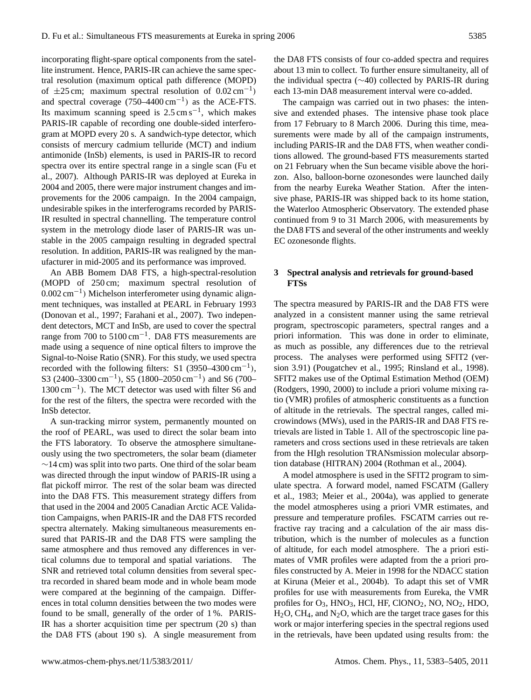incorporating flight-spare optical components from the satellite instrument. Hence, PARIS-IR can achieve the same spectral resolution (maximum optical path difference (MOPD) of  $\pm 25$  cm; maximum spectral resolution of 0.02 cm<sup>-1</sup>) and spectral coverage  $(750-4400 \text{ cm}^{-1})$  as the ACE-FTS. Its maximum scanning speed is  $2.5 \text{ cm s}^{-1}$ , which makes PARIS-IR capable of recording one double-sided interferogram at MOPD every 20 s. A sandwich-type detector, which consists of mercury cadmium telluride (MCT) and indium antimonide (InSb) elements, is used in PARIS-IR to record spectra over its entire spectral range in a single scan (Fu et al., 2007). Although PARIS-IR was deployed at Eureka in 2004 and 2005, there were major instrument changes and improvements for the 2006 campaign. In the 2004 campaign, undesirable spikes in the interferograms recorded by PARIS-IR resulted in spectral channelling. The temperature control system in the metrology diode laser of PARIS-IR was unstable in the 2005 campaign resulting in degraded spectral resolution. In addition, PARIS-IR was realigned by the manufacturer in mid-2005 and its performance was improved.

An ABB Bomem DA8 FTS, a high-spectral-resolution (MOPD of 250 cm; maximum spectral resolution of 0.002 cm−<sup>1</sup> ) Michelson interferometer using dynamic alignment techniques, was installed at PEARL in February 1993 (Donovan et al., 1997; Farahani et al., 2007). Two independent detectors, MCT and InSb, are used to cover the spectral range from  $700$  to  $5100 \text{ cm}^{-1}$ . DA8 FTS measurements are made using a sequence of nine optical filters to improve the Signal-to-Noise Ratio (SNR). For this study, we used spectra recorded with the following filters: S1 (3950–4300 cm<sup>-1</sup>), S3 (2400–3300 cm<sup>-1</sup>), S5 (1800–2050 cm<sup>-1</sup>) and S6 (700– 1300 cm−<sup>1</sup> ). The MCT detector was used with filter S6 and for the rest of the filters, the spectra were recorded with the InSb detector.

A sun-tracking mirror system, permanently mounted on the roof of PEARL, was used to direct the solar beam into the FTS laboratory. To observe the atmosphere simultaneously using the two spectrometers, the solar beam (diameter ∼14 cm) was split into two parts. One third of the solar beam was directed through the input window of PARIS-IR using a flat pickoff mirror. The rest of the solar beam was directed into the DA8 FTS. This measurement strategy differs from that used in the 2004 and 2005 Canadian Arctic ACE Validation Campaigns, when PARIS-IR and the DA8 FTS recorded spectra alternately. Making simultaneous measurements ensured that PARIS-IR and the DA8 FTS were sampling the same atmosphere and thus removed any differences in vertical columns due to temporal and spatial variations. The SNR and retrieved total column densities from several spectra recorded in shared beam mode and in whole beam mode were compared at the beginning of the campaign. Differences in total column densities between the two modes were found to be small, generally of the order of 1 %. PARIS-IR has a shorter acquisition time per spectrum (20 s) than the DA8 FTS (about 190 s). A single measurement from the DA8 FTS consists of four co-added spectra and requires about 13 min to collect. To further ensure simultaneity, all of the individual spectra (∼40) collected by PARIS-IR during each 13-min DA8 measurement interval were co-added.

The campaign was carried out in two phases: the intensive and extended phases. The intensive phase took place from 17 February to 8 March 2006. During this time, measurements were made by all of the campaign instruments, including PARIS-IR and the DA8 FTS, when weather conditions allowed. The ground-based FTS measurements started on 21 February when the Sun became visible above the horizon. Also, balloon-borne ozonesondes were launched daily from the nearby Eureka Weather Station. After the intensive phase, PARIS-IR was shipped back to its home station, the Waterloo Atmospheric Observatory. The extended phase continued from 9 to 31 March 2006, with measurements by the DA8 FTS and several of the other instruments and weekly EC ozonesonde flights.

## **3 Spectral analysis and retrievals for ground-based FTSs**

The spectra measured by PARIS-IR and the DA8 FTS were analyzed in a consistent manner using the same retrieval program, spectroscopic parameters, spectral ranges and a priori information. This was done in order to eliminate, as much as possible, any differences due to the retrieval process. The analyses were performed using SFIT2 (version 3.91) (Pougatchev et al., 1995; Rinsland et al., 1998). SFIT2 makes use of the Optimal Estimation Method (OEM) (Rodgers, 1990, 2000) to include a priori volume mixing ratio (VMR) profiles of atmospheric constituents as a function of altitude in the retrievals. The spectral ranges, called microwindows (MWs), used in the PARIS-IR and DA8 FTS retrievals are listed in Table 1. All of the spectroscopic line parameters and cross sections used in these retrievals are taken from the HIgh resolution TRANsmission molecular absorption database (HITRAN) 2004 (Rothman et al., 2004).

A model atmosphere is used in the SFIT2 program to simulate spectra. A forward model, named FSCATM (Gallery et al., 1983; Meier et al., 2004a), was applied to generate the model atmospheres using a priori VMR estimates, and pressure and temperature profiles. FSCATM carries out refractive ray tracing and a calculation of the air mass distribution, which is the number of molecules as a function of altitude, for each model atmosphere. The a priori estimates of VMR profiles were adapted from the a priori profiles constructed by A. Meier in 1998 for the NDACC station at Kiruna (Meier et al., 2004b). To adapt this set of VMR profiles for use with measurements from Eureka, the VMR profiles for  $O_3$ , HNO<sub>3</sub>, HCl, HF, ClONO<sub>2</sub>, NO, NO<sub>2</sub>, HDO,  $H_2O$ , CH<sub>4</sub>, and N<sub>2</sub>O, which are the target trace gases for this work or major interfering species in the spectral regions used in the retrievals, have been updated using results from: the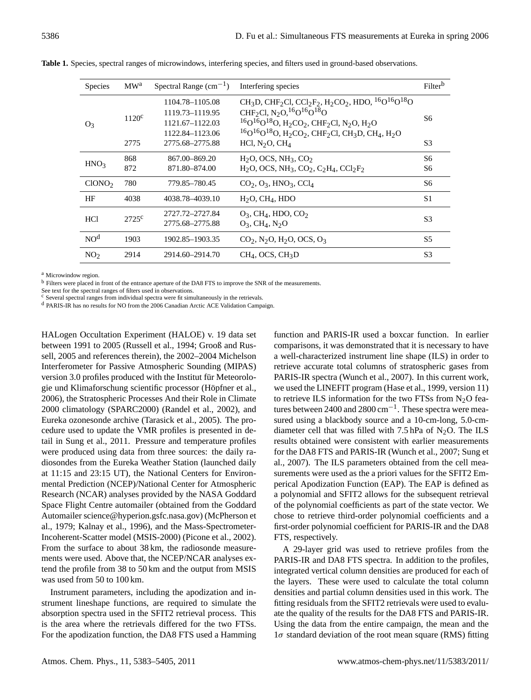| <b>Species</b>     | MW <sup>a</sup>   | Spectral Range $(cm-1)$                                                  | Interfering species                                                                                                                                                                                                                                                                                                                                                                                                                                              | Filter <sup>b</sup> |
|--------------------|-------------------|--------------------------------------------------------------------------|------------------------------------------------------------------------------------------------------------------------------------------------------------------------------------------------------------------------------------------------------------------------------------------------------------------------------------------------------------------------------------------------------------------------------------------------------------------|---------------------|
| O <sub>3</sub>     | 1120 <sup>c</sup> | 1104.78-1105.08<br>1119.73-1119.95<br>1121.67-1122.03<br>1122.84-1123.06 | CH <sub>3</sub> D, CHF <sub>2</sub> Cl, CCl <sub>2</sub> F <sub>2</sub> , H <sub>2</sub> CO <sub>2</sub> , HDO, <sup>16</sup> O <sup>16</sup> O <sup>18</sup> O<br>CHF <sub>2</sub> Cl, $N_2O$ , ${}^{16}O$ ${}^{16}O$ ${}^{18}O$<br>${}^{16}O {}^{16}O {}^{18}O$ , $H_2CO_2$ , CHF <sub>2</sub> Cl, N <sub>2</sub> O, H <sub>2</sub> O<br>${}^{16}O {}^{16}O {}^{18}O$ , $H_2CO_2$ , CHF <sub>2</sub> Cl, CH <sub>3</sub> D, CH <sub>4</sub> , H <sub>2</sub> O | S6                  |
|                    | 2775              | 2775.68–2775.88                                                          | HCl, $N_2O$ , $CH_4$                                                                                                                                                                                                                                                                                                                                                                                                                                             | S <sub>3</sub>      |
| HNO <sub>3</sub>   | 868<br>872        | 867.00-869.20<br>871.80–874.00                                           | $H2O$ , OCS, NH <sub>3</sub> , CO <sub>2</sub><br>$H_2O$ , OCS, NH <sub>3</sub> , CO <sub>2</sub> , C <sub>2</sub> H <sub>4</sub> , CCl <sub>2</sub> F <sub>2</sub>                                                                                                                                                                                                                                                                                              | S6<br>S6            |
| CIONO <sub>2</sub> | 780               | 779.85–780.45                                                            | $CO2$ , $O3$ , HNO <sub>3</sub> , CCl <sub>4</sub>                                                                                                                                                                                                                                                                                                                                                                                                               | S6                  |
| HF                 | 4038              | 4038.78-4039.10                                                          | $H2O$ , CH <sub>4</sub> , HDO                                                                                                                                                                                                                                                                                                                                                                                                                                    | S <sub>1</sub>      |
| HC <sub>1</sub>    | $2725^{\circ}$    | 2727.72-2727.84<br>2775.68–2775.88                                       | $O_3$ , CH <sub>4</sub> , HDO, CO <sub>2</sub><br>$O_3$ , CH <sub>4</sub> , N <sub>2</sub> O                                                                                                                                                                                                                                                                                                                                                                     | S <sub>3</sub>      |
| NO <sup>d</sup>    | 1903              | 1902.85–1903.35                                                          | $CO_2$ , N <sub>2</sub> O, H <sub>2</sub> O, OCS, O <sub>3</sub>                                                                                                                                                                                                                                                                                                                                                                                                 | S5                  |
| NO <sub>2</sub>    | 2914              | 2914.60–2914.70                                                          | $CH_4$ , OCS, CH <sub>3</sub> D                                                                                                                                                                                                                                                                                                                                                                                                                                  | S <sub>3</sub>      |

**Table 1.** Species, spectral ranges of microwindows, interfering species, and filters used in ground-based observations.

<sup>a</sup> Microwindow region.

<sup>b</sup> Filters were placed in front of the entrance aperture of the DA8 FTS to improve the SNR of the measurements.

See text for the spectral ranges of filters used in observations.

<sup>c</sup> Several spectral ranges from individual spectra were fit simultaneously in the retrievals.

<sup>d</sup> PARIS-IR has no results for NO from the 2006 Canadian Arctic ACE Validation Campaign.

HALogen Occultation Experiment (HALOE) v. 19 data set between 1991 to 2005 (Russell et al., 1994; Grooß and Russell, 2005 and references therein), the 2002–2004 Michelson Interferometer for Passive Atmospheric Sounding (MIPAS) version 3.0 profiles produced with the Institut fur Meteorologie und Klimaforschung scientific processor (Höpfner et al., 2006), the Stratospheric Processes And their Role in Climate 2000 climatology (SPARC2000) (Randel et al., 2002), and Eureka ozonesonde archive (Tarasick et al., 2005). The procedure used to update the VMR profiles is presented in detail in Sung et al., 2011. Pressure and temperature profiles were produced using data from three sources: the daily radiosondes from the Eureka Weather Station (launched daily at 11:15 and 23:15 UT), the National Centers for Environmental Prediction (NCEP)/National Center for Atmospheric Research (NCAR) analyses provided by the NASA Goddard Space Flight Centre automailer (obtained from the Goddard Automailer science@hyperion.gsfc.nasa.gov) (McPherson et al., 1979; Kalnay et al., 1996), and the Mass-Spectrometer-Incoherent-Scatter model (MSIS-2000) (Picone et al., 2002). From the surface to about 38 km, the radiosonde measurements were used. Above that, the NCEP/NCAR analyses extend the profile from 38 to 50 km and the output from MSIS was used from 50 to 100 km.

Instrument parameters, including the apodization and instrument lineshape functions, are required to simulate the absorption spectra used in the SFIT2 retrieval process. This is the area where the retrievals differed for the two FTSs. For the apodization function, the DA8 FTS used a Hamming function and PARIS-IR used a boxcar function. In earlier comparisons, it was demonstrated that it is necessary to have a well-characterized instrument line shape (ILS) in order to retrieve accurate total columns of stratospheric gases from PARIS-IR spectra (Wunch et al., 2007). In this current work, we used the LINEFIT program (Hase et al., 1999, version 11) to retrieve ILS information for the two FTSs from  $N_2O$  features between 2400 and 2800 cm<sup>-1</sup>. These spectra were measured using a blackbody source and a 10-cm-long, 5.0-cmdiameter cell that was filled with  $7.5$  hPa of N<sub>2</sub>O. The ILS results obtained were consistent with earlier measurements for the DA8 FTS and PARIS-IR (Wunch et al., 2007; Sung et al., 2007). The ILS parameters obtained from the cell measurements were used as the a priori values for the SFIT2 Emperical Apodization Function (EAP). The EAP is defined as a polynomial and SFIT2 allows for the subsequent retrieval of the polynomial coefficients as part of the state vector. We chose to retrieve third-order polynomial coefficients and a first-order polynomial coefficient for PARIS-IR and the DA8 FTS, respectively.

A 29-layer grid was used to retrieve profiles from the PARIS-IR and DA8 FTS spectra. In addition to the profiles, integrated vertical column densities are produced for each of the layers. These were used to calculate the total column densities and partial column densities used in this work. The fitting residuals from the SFIT2 retrievals were used to evaluate the quality of the results for the DA8 FTS and PARIS-IR. Using the data from the entire campaign, the mean and the  $1\sigma$  standard deviation of the root mean square (RMS) fitting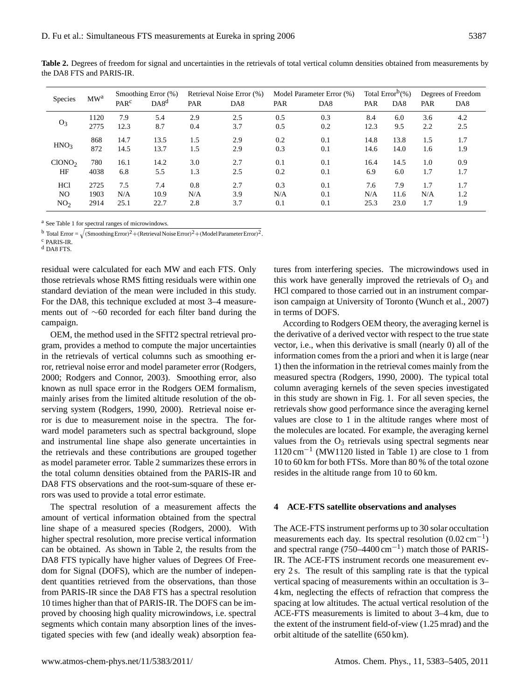|                    | $M W^a$ |                  | Smoothing Error (%)           |     | Retrieval Noise Error (%) |     | Model Parameter Error (%) |      | Total $Error^b(\% )$ |            | Degrees of Freedom |  |
|--------------------|---------|------------------|-------------------------------|-----|---------------------------|-----|---------------------------|------|----------------------|------------|--------------------|--|
| <b>Species</b>     |         | PAR <sup>c</sup> | D <sub>4</sub> 8 <sup>d</sup> | PAR | DA <sub>8</sub>           | PAR | DA <sub>8</sub>           | PAR  | DA <sub>8</sub>      | <b>PAR</b> | DA8                |  |
|                    | 1120    | 7.9              | 5.4                           | 2.9 | 2.5                       | 0.5 | 0.3                       | 8.4  | 6.0                  | 3.6        | 4.2                |  |
| $O_3$              | 2775    | 12.3             | 8.7                           | 0.4 | 3.7                       | 0.5 | 0.2                       | 12.3 | 9.5                  | 2.2        | 2.5                |  |
| HNO <sub>3</sub>   | 868     | 14.7             | 13.5                          | 1.5 | 2.9                       | 0.2 | 0.1                       | 14.8 | 13.8                 | 1.5        | 1.7                |  |
|                    | 872     | 14.5             | 13.7                          | 1.5 | 2.9                       | 0.3 | 0.1                       | 14.6 | 14.0                 | 1.6        | 1.9                |  |
| CIONO <sub>2</sub> | 780     | 16.1             | 14.2                          | 3.0 | 2.7                       | 0.1 | 0.1                       | 16.4 | 14.5                 | 1.0        | 0.9                |  |
| HF                 | 4038    | 6.8              | 5.5                           | 1.3 | 2.5                       | 0.2 | 0.1                       | 6.9  | 6.0                  | 1.7        | 1.7                |  |
| <b>HCl</b>         | 2725    | 7.5              | 7.4                           | 0.8 | 2.7                       | 0.3 | 0.1                       | 7.6  | 7.9                  | 1.7        | 1.7                |  |
| N <sub>O</sub>     | 1903    | N/A              | 10.9                          | N/A | 3.9                       | N/A | 0.1                       | N/A  | 11.6                 | N/A        | 1.2                |  |
| NO <sub>2</sub>    | 2914    | 25.1             | 22.7                          | 2.8 | 3.7                       | 0.1 | 0.1                       | 25.3 | 23.0                 | 1.7        | 1.9                |  |

Table 2. Degrees of freedom for signal and uncertainties in the retrievals of total vertical column densities obtained from measurements by the DA8 FTS and PARIS-IR.

<sup>a</sup> See Table 1 for spectral ranges of microwindows.

<sup>b</sup> Total Error =  $\sqrt{($ Smoothing Error $)^2 + ($ Retrieval Noise Error $)^2 + ($ Model Parameter Error $)^2$ .

<sup>c</sup> PARIS-IR.

<sup>d</sup> DA8 FTS.

residual were calculated for each MW and each FTS. Only those retrievals whose RMS fitting residuals were within one standard deviation of the mean were included in this study. For the DA8, this technique excluded at most 3–4 measurements out of ∼60 recorded for each filter band during the campaign.

OEM, the method used in the SFIT2 spectral retrieval program, provides a method to compute the major uncertainties in the retrievals of vertical columns such as smoothing error, retrieval noise error and model parameter error (Rodgers, 2000; Rodgers and Connor, 2003). Smoothing error, also known as null space error in the Rodgers OEM formalism, mainly arises from the limited altitude resolution of the observing system (Rodgers, 1990, 2000). Retrieval noise error is due to measurement noise in the spectra. The forward model parameters such as spectral background, slope and instrumental line shape also generate uncertainties in the retrievals and these contributions are grouped together as model parameter error. Table 2 summarizes these errors in the total column densities obtained from the PARIS-IR and DA8 FTS observations and the root-sum-square of these errors was used to provide a total error estimate.

The spectral resolution of a measurement affects the amount of vertical information obtained from the spectral line shape of a measured species (Rodgers, 2000). With higher spectral resolution, more precise vertical information can be obtained. As shown in Table 2, the results from the DA8 FTS typically have higher values of Degrees Of Freedom for Signal (DOFS), which are the number of independent quantities retrieved from the observations, than those from PARIS-IR since the DA8 FTS has a spectral resolution 10 times higher than that of PARIS-IR. The DOFS can be improved by choosing high quality microwindows, i.e. spectral segments which contain many absorption lines of the investigated species with few (and ideally weak) absorption features from interfering species. The microwindows used in this work have generally improved the retrievals of  $O_3$  and HCl compared to those carried out in an instrument comparison campaign at University of Toronto (Wunch et al., 2007) in terms of DOFS.

According to Rodgers OEM theory, the averaging kernel is the derivative of a derived vector with respect to the true state vector, i.e., when this derivative is small (nearly 0) all of the information comes from the a priori and when it is large (near 1) then the information in the retrieval comes mainly from the measured spectra (Rodgers, 1990, 2000). The typical total column averaging kernels of the seven species investigated in this study are shown in Fig. 1. For all seven species, the retrievals show good performance since the averaging kernel values are close to 1 in the altitude ranges where most of the molecules are located. For example, the averaging kernel values from the  $O_3$  retrievals using spectral segments near 1120 cm−<sup>1</sup> (MW1120 listed in Table 1) are close to 1 from 10 to 60 km for both FTSs. More than 80 % of the total ozone resides in the altitude range from 10 to 60 km.

## **4 ACE-FTS satellite observations and analyses**

The ACE-FTS instrument performs up to 30 solar occultation measurements each day. Its spectral resolution (0.02 cm<sup>-1</sup>) and spectral range (750–4400 cm−<sup>1</sup> ) match those of PARIS-IR. The ACE-FTS instrument records one measurement every 2 s. The result of this sampling rate is that the typical vertical spacing of measurements within an occultation is 3– 4 km, neglecting the effects of refraction that compress the spacing at low altitudes. The actual vertical resolution of the ACE-FTS measurements is limited to about 3–4 km, due to the extent of the instrument field-of-view (1.25 mrad) and the orbit altitude of the satellite (650 km).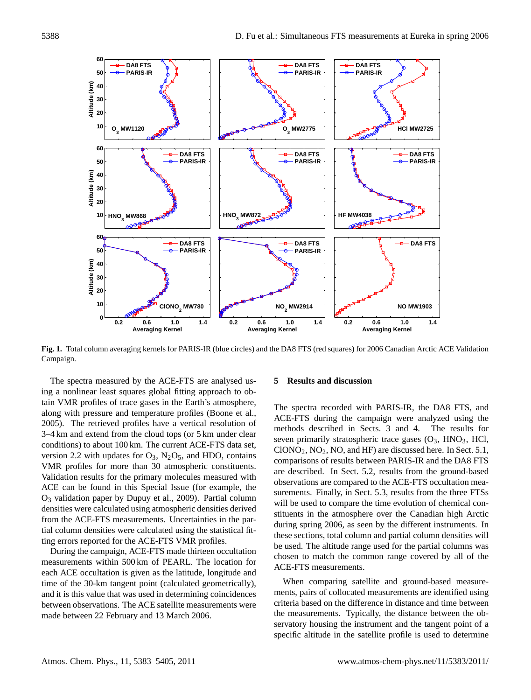

**Fig. 1.** Total column averaging kernels for PARIS-IR (blue circles) and the DA8 FTS (red squares) for 2006 Canadian Arctic ACE Validation Campaign.

The spectra measured by the ACE-FTS are analysed using a nonlinear least squares global fitting approach to obtain VMR profiles of trace gases in the Earth's atmosphere, along with pressure and temperature profiles (Boone et al., 2005). The retrieved profiles have a vertical resolution of 3–4 km and extend from the cloud tops (or 5 km under clear conditions) to about 100 km. The current ACE-FTS data set, version 2.2 with updates for  $O_3$ ,  $N_2O_5$ , and HDO, contains VMR profiles for more than 30 atmospheric constituents. Validation results for the primary molecules measured with ACE can be found in this Special Issue (for example, the O<sup>3</sup> validation paper by Dupuy et al., 2009). Partial column densities were calculated using atmospheric densities derived from the ACE-FTS measurements. Uncertainties in the partial column densities were calculated using the statistical fitting errors reported for the ACE-FTS VMR profiles.

During the campaign, ACE-FTS made thirteen occultation measurements within 500 km of PEARL. The location for each ACE occultation is given as the latitude, longitude and time of the 30-km tangent point (calculated geometrically), and it is this value that was used in determining coincidences between observations. The ACE satellite measurements were made between 22 February and 13 March 2006.

#### **5 Results and discussion**

The spectra recorded with PARIS-IR, the DA8 FTS, and ACE-FTS during the campaign were analyzed using the methods described in Sects. 3 and 4. The results for seven primarily stratospheric trace gases  $(O_3, HNO_3, HCl,$  $CIONO<sub>2</sub>, NO<sub>2</sub>, NO<sub>3</sub>$  and HF) are discussed here. In Sect. 5.1, comparisons of results between PARIS-IR and the DA8 FTS are described. In Sect. 5.2, results from the ground-based observations are compared to the ACE-FTS occultation measurements. Finally, in Sect. 5.3, results from the three FTSs will be used to compare the time evolution of chemical constituents in the atmosphere over the Canadian high Arctic during spring 2006, as seen by the different instruments. In these sections, total column and partial column densities will be used. The altitude range used for the partial columns was chosen to match the common range covered by all of the ACE-FTS measurements.

When comparing satellite and ground-based measurements, pairs of collocated measurements are identified using criteria based on the difference in distance and time between the measurements. Typically, the distance between the observatory housing the instrument and the tangent point of a specific altitude in the satellite profile is used to determine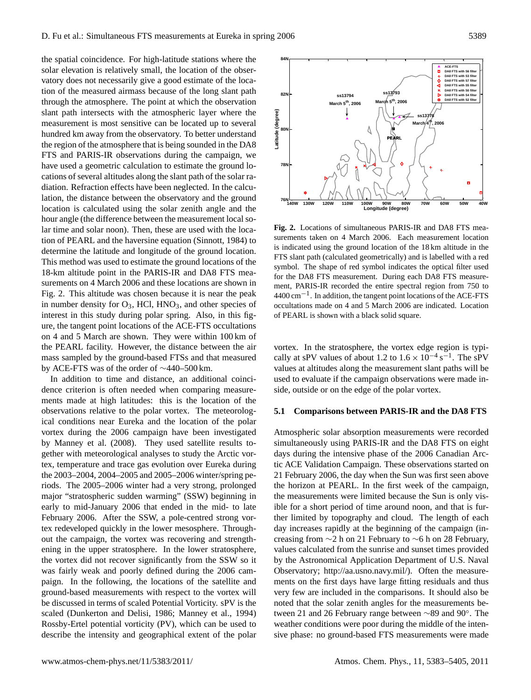the spatial coincidence. For high-latitude stations where the solar elevation is relatively small, the location of the observatory does not necessarily give a good estimate of the location of the measured airmass because of the long slant path through the atmosphere. The point at which the observation slant path intersects with the atmospheric layer where the measurement is most sensitive can be located up to several hundred km away from the observatory. To better understand the region of the atmosphere that is being sounded in the DA8 FTS and PARIS-IR observations during the campaign, we have used a geometric calculation to estimate the ground locations of several altitudes along the slant path of the solar radiation. Refraction effects have been neglected. In the calculation, the distance between the observatory and the ground location is calculated using the solar zenith angle and the hour angle (the difference between the measurement local solar time and solar noon). Then, these are used with the location of PEARL and the haversine equation (Sinnott, 1984) to determine the latitude and longitude of the ground location. This method was used to estimate the ground locations of the 18-km altitude point in the PARIS-IR and DA8 FTS measurements on 4 March 2006 and these locations are shown in Fig. 2. This altitude was chosen because it is near the peak in number density for  $O_3$ , HCl, HNO<sub>3</sub>, and other species of interest in this study during polar spring. Also, in this figure, the tangent point locations of the ACE-FTS occultations on 4 and 5 March are shown. They were within 100 km of the PEARL facility. However, the distance between the air mass sampled by the ground-based FTSs and that measured by ACE-FTS was of the order of ∼440–500 km.

In addition to time and distance, an additional coincidence criterion is often needed when comparing measurements made at high latitudes: this is the location of the observations relative to the polar vortex. The meteorological conditions near Eureka and the location of the polar vortex during the 2006 campaign have been investigated by Manney et al. (2008). They used satellite results together with meteorological analyses to study the Arctic vortex, temperature and trace gas evolution over Eureka during the 2003–2004, 2004–2005 and 2005–2006 winter/spring periods. The 2005–2006 winter had a very strong, prolonged major "stratospheric sudden warming" (SSW) beginning in early to mid-January 2006 that ended in the mid- to late February 2006. After the SSW, a pole-centred strong vortex redeveloped quickly in the lower mesosphere. Throughout the campaign, the vortex was recovering and strengthening in the upper stratosphere. In the lower stratosphere, the vortex did not recover significantly from the SSW so it was fairly weak and poorly defined during the 2006 campaign. In the following, the locations of the satellite and ground-based measurements with respect to the vortex will be discussed in terms of scaled Potential Vorticity. sPV is the scaled (Dunkerton and Delisi, 1986; Manney et al., 1994) Rossby-Ertel potential vorticity (PV), which can be used to describe the intensity and geographical extent of the polar



**Fig. 2.** Locations of simultaneous PARIS-IR and DA8 FTS measurements taken on 4 March 2006. Each measurement location is indicated using the ground location of the 18 km altitude in the FTS slant path (calculated geometrically) and is labelled with a red symbol. The shape of red symbol indicates the optical filter used for the DA8 FTS measurement. During each DA8 FTS measurement, PARIS-IR recorded the entire spectral region from 750 to 4400 cm−<sup>1</sup> . In addition, the tangent point locations of the ACE-FTS occultations made on 4 and 5 March 2006 are indicated. Location of PEARL is shown with a black solid square.

vortex. In the stratosphere, the vortex edge region is typically at sPV values of about 1.2 to  $1.6 \times 10^{-4}$  s<sup>-1</sup>. The sPV values at altitudes along the measurement slant paths will be used to evaluate if the campaign observations were made inside, outside or on the edge of the polar vortex.

#### **5.1 Comparisons between PARIS-IR and the DA8 FTS**

Atmospheric solar absorption measurements were recorded simultaneously using PARIS-IR and the DA8 FTS on eight days during the intensive phase of the 2006 Canadian Arctic ACE Validation Campaign. These observations started on 21 February 2006, the day when the Sun was first seen above the horizon at PEARL. In the first week of the campaign, the measurements were limited because the Sun is only visible for a short period of time around noon, and that is further limited by topography and cloud. The length of each day increases rapidly at the beginning of the campaign (increasing from ∼2 h on 21 February to ∼6 h on 28 February, values calculated from the sunrise and sunset times provided by the Astronomical Application Department of U.S. Naval Observatory; [http://aa.usno.navy.mil/\)](http://aa.usno.navy.mil/). Often the measurements on the first days have large fitting residuals and thus very few are included in the comparisons. It should also be noted that the solar zenith angles for the measurements between 21 and 26 February range between ∼89 and 90◦ . The weather conditions were poor during the middle of the intensive phase: no ground-based FTS measurements were made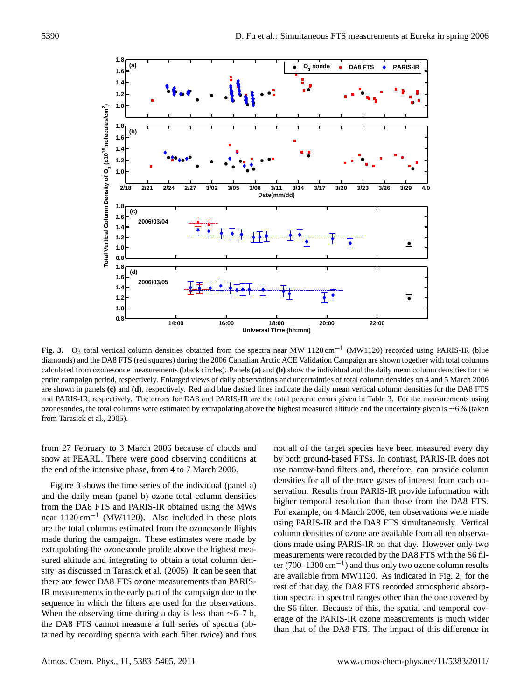

Fig. 3. O<sub>3</sub> total vertical column densities obtained from the spectra near MW 1120 cm<sup>-1</sup> (MW1120) recorded using PARIS-IR (blue diamonds) and the DA8 FTS (red squares) during the 2006 Canadian Arctic ACE Validation Campaign are shown together with total columns calculated from ozonesonde measurements (black circles). Panels **(a)** and **(b)** show the individual and the daily mean column densities for the entire campaign period, respectively. Enlarged views of daily observations and uncertainties of total column densities on 4 and 5 March 2006 are shown in panels **(c)** and **(d)**, respectively. Red and blue dashed lines indicate the daily mean vertical column densities for the DA8 FTS and PARIS-IR, respectively. The errors for DA8 and PARIS-IR are the total percent errors given in Table 3. For the measurements using ozonesondes, the total columns were estimated by extrapolating above the highest measured altitude and the uncertainty given is  $\pm 6$  % (taken from Tarasick et al., 2005).

from 27 February to 3 March 2006 because of clouds and snow at PEARL. There were good observing conditions at the end of the intensive phase, from 4 to 7 March 2006.

Figure 3 shows the time series of the individual (panel a) and the daily mean (panel b) ozone total column densities from the DA8 FTS and PARIS-IR obtained using the MWs near 1120 cm<sup>-1</sup> (MW1120). Also included in these plots are the total columns estimated from the ozonesonde flights made during the campaign. These estimates were made by extrapolating the ozonesonde profile above the highest measured altitude and integrating to obtain a total column density as discussed in Tarasick et al. (2005). It can be seen that there are fewer DA8 FTS ozone measurements than PARIS-IR measurements in the early part of the campaign due to the sequence in which the filters are used for the observations. When the observing time during a day is less than  $\sim$ 6–7 h, the DA8 FTS cannot measure a full series of spectra (obtained by recording spectra with each filter twice) and thus not all of the target species have been measured every day by both ground-based FTSs. In contrast, PARIS-IR does not use narrow-band filters and, therefore, can provide column densities for all of the trace gases of interest from each observation. Results from PARIS-IR provide information with higher temporal resolution than those from the DA8 FTS. For example, on 4 March 2006, ten observations were made using PARIS-IR and the DA8 FTS simultaneously. Vertical column densities of ozone are available from all ten observations made using PARIS-IR on that day. However only two measurements were recorded by the DA8 FTS with the S6 filter (700–1300  $\text{cm}^{-1}$ ) and thus only two ozone column results are available from MW1120. As indicated in Fig. 2, for the rest of that day, the DA8 FTS recorded atmospheric absorption spectra in spectral ranges other than the one covered by the S6 filter. Because of this, the spatial and temporal coverage of the PARIS-IR ozone measurements is much wider than that of the DA8 FTS. The impact of this difference in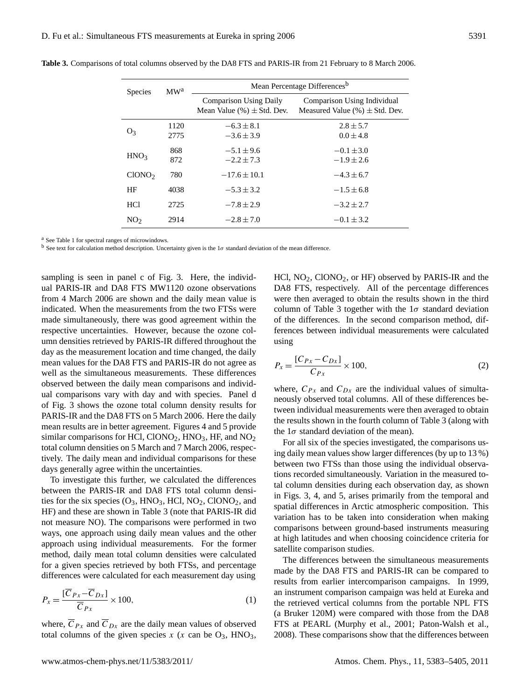| Species            | MW <sup>a</sup> |                                                                   | Mean Percentage Differences <sup>b</sup>                             |
|--------------------|-----------------|-------------------------------------------------------------------|----------------------------------------------------------------------|
|                    |                 | <b>Comparison Using Daily</b><br>Mean Value $(\%) \pm Std$ . Dev. | Comparison Using Individual<br>Measured Value $(\% ) \pm Std$ . Dev. |
|                    | 1120            | $-6.3 \pm 8.1$                                                    | $2.8 \pm 5.7$                                                        |
| O <sub>3</sub>     | 2775            | $-3.6 \pm 3.9$                                                    | $0.0 \pm 4.8$                                                        |
|                    | 868             | $-5.1 \pm 9.6$                                                    | $-0.1 \pm 3.0$                                                       |
| HNO <sub>3</sub>   | 872             | $-2.2 \pm 7.3$                                                    | $-1.9 \pm 2.6$                                                       |
| CIONO <sub>2</sub> | 780             | $-17.6 \pm 10.1$                                                  | $-4.3 \pm 6.7$                                                       |
| HF                 | 4038            | $-5.3 \pm 3.2$                                                    | $-1.5 \pm 6.8$                                                       |
| <b>HCl</b>         | 2725            | $-7.8 \pm 2.9$                                                    | $-3.2 \pm 2.7$                                                       |
| NO <sub>2</sub>    | 2914            | $-2.8 \pm 7.0$                                                    | $-0.1 \pm 3.2$                                                       |

**Table 3.** Comparisons of total columns observed by the DA8 FTS and PARIS-IR from 21 February to 8 March 2006.

<sup>a</sup> See Table 1 for spectral ranges of microwindows.

b See text for calculation method description. Uncertainty given is the  $1\sigma$  standard deviation of the mean difference.

sampling is seen in panel c of Fig. 3. Here, the individual PARIS-IR and DA8 FTS MW1120 ozone observations from 4 March 2006 are shown and the daily mean value is indicated. When the measurements from the two FTSs were made simultaneously, there was good agreement within the respective uncertainties. However, because the ozone column densities retrieved by PARIS-IR differed throughout the day as the measurement location and time changed, the daily mean values for the DA8 FTS and PARIS-IR do not agree as well as the simultaneous measurements. These differences observed between the daily mean comparisons and individual comparisons vary with day and with species. Panel d of Fig. 3 shows the ozone total column density results for PARIS-IR and the DA8 FTS on 5 March 2006. Here the daily mean results are in better agreement. Figures 4 and 5 provide similar comparisons for HCl,  $CIONO<sub>2</sub>$ , HNO<sub>3</sub>, HF, and NO<sub>2</sub> total column densities on 5 March and 7 March 2006, respectively. The daily mean and individual comparisons for these days generally agree within the uncertainties.

To investigate this further, we calculated the differences between the PARIS-IR and DA8 FTS total column densities for the six species  $(O_3, HNO_3, HCl, NO_2, ClONO_2, and$ HF) and these are shown in Table 3 (note that PARIS-IR did not measure NO). The comparisons were performed in two ways, one approach using daily mean values and the other approach using individual measurements. For the former method, daily mean total column densities were calculated for a given species retrieved by both FTSs, and percentage differences were calculated for each measurement day using

$$
P_x = \frac{[\overline{C}_{Px} - \overline{C}_{Dx}]}{\overline{C}_{Px}} \times 100,\tag{1}
$$

where,  $\overline{C}_{Px}$  and  $\overline{C}_{Dx}$  are the daily mean values of observed total columns of the given species  $x$  ( $x$  can be  $O_3$ ,  $HNO_3$ , HCl,  $NO<sub>2</sub>$ , ClON $O<sub>2</sub>$ , or HF) observed by PARIS-IR and the DA8 FTS, respectively. All of the percentage differences were then averaged to obtain the results shown in the third column of Table 3 together with the  $1\sigma$  standard deviation of the differences. In the second comparison method, differences between individual measurements were calculated using

$$
P_x = \frac{[C_{Px} - C_{Dx}]}{C_{Px}} \times 100,\tag{2}
$$

where,  $C_{Px}$  and  $C_{Dx}$  are the individual values of simultaneously observed total columns. All of these differences between individual measurements were then averaged to obtain the results shown in the fourth column of Table 3 (along with the  $1\sigma$  standard deviation of the mean).

For all six of the species investigated, the comparisons using daily mean values show larger differences (by up to 13 %) between two FTSs than those using the individual observations recorded simultaneously. Variation in the measured total column densities during each observation day, as shown in Figs. 3, 4, and 5, arises primarily from the temporal and spatial differences in Arctic atmospheric composition. This variation has to be taken into consideration when making comparisons between ground-based instruments measuring at high latitudes and when choosing coincidence criteria for satellite comparison studies.

The differences between the simultaneous measurements made by the DA8 FTS and PARIS-IR can be compared to results from earlier intercomparison campaigns. In 1999, an instrument comparison campaign was held at Eureka and the retrieved vertical columns from the portable NPL FTS (a Bruker 120M) were compared with those from the DA8 FTS at PEARL (Murphy et al., 2001; Paton-Walsh et al., 2008). These comparisons show that the differences between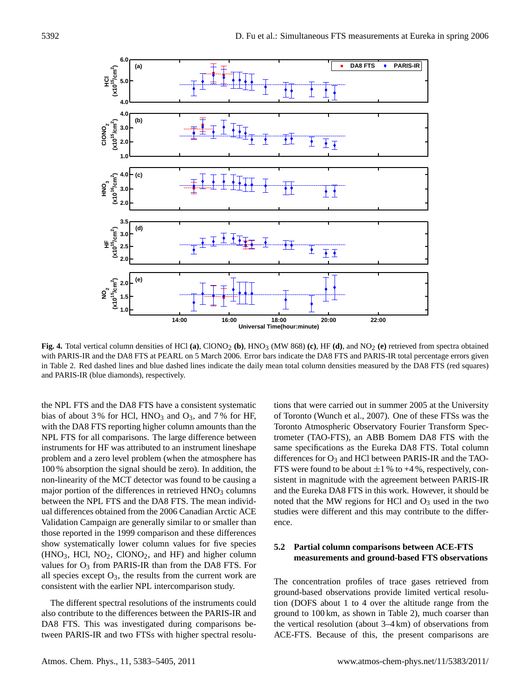

**Fig. 4.** Total vertical column densities of HCl **(a)**, ClONO2 **(b)**, HNO3 (MW 868) **(c)**, HF **(d)**, and NO2 **(e)** retrieved from spectra obtained with PARIS-IR and the DA8 FTS at PEARL on 5 March 2006. Error bars indicate the DA8 FTS and PARIS-IR total percentage errors given in Table 2. Red dashed lines and blue dashed lines indicate the daily mean total column densities measured by the DA8 FTS (red squares) and PARIS-IR (blue diamonds), respectively.

the NPL FTS and the DA8 FTS have a consistent systematic bias of about 3 % for HCl,  $HNO<sub>3</sub>$  and  $O<sub>3</sub>$ , and 7 % for HF, with the DA8 FTS reporting higher column amounts than the NPL FTS for all comparisons. The large difference between instruments for HF was attributed to an instrument lineshape problem and a zero level problem (when the atmosphere has 100 % absorption the signal should be zero). In addition, the non-linearity of the MCT detector was found to be causing a major portion of the differences in retrieved  $HNO<sub>3</sub>$  columns between the NPL FTS and the DA8 FTS. The mean individual differences obtained from the 2006 Canadian Arctic ACE Validation Campaign are generally similar to or smaller than those reported in the 1999 comparison and these differences show systematically lower column values for five species  $(HNO<sub>3</sub>, HCl, NO<sub>2</sub>, ClONO<sub>2</sub>, and HF)$  and higher column values for  $O_3$  from PARIS-IR than from the DA8 FTS. For all species except  $O_3$ , the results from the current work are consistent with the earlier NPL intercomparison study.

The different spectral resolutions of the instruments could also contribute to the differences between the PARIS-IR and DA8 FTS. This was investigated during comparisons between PARIS-IR and two FTSs with higher spectral resolutions that were carried out in summer 2005 at the University of Toronto (Wunch et al., 2007). One of these FTSs was the Toronto Atmospheric Observatory Fourier Transform Spectrometer (TAO-FTS), an ABB Bomem DA8 FTS with the same specifications as the Eureka DA8 FTS. Total column differences for  $O_3$  and HCl between PARIS-IR and the TAO-FTS were found to be about  $\pm 1$  % to  $+4$  %, respectively, consistent in magnitude with the agreement between PARIS-IR and the Eureka DA8 FTS in this work. However, it should be noted that the MW regions for HCl and  $O_3$  used in the two studies were different and this may contribute to the difference.

# **5.2 Partial column comparisons between ACE-FTS measurements and ground-based FTS observations**

The concentration profiles of trace gases retrieved from ground-based observations provide limited vertical resolution (DOFS about 1 to 4 over the altitude range from the ground to 100 km, as shown in Table 2), much coarser than the vertical resolution (about 3–4 km) of observations from ACE-FTS. Because of this, the present comparisons are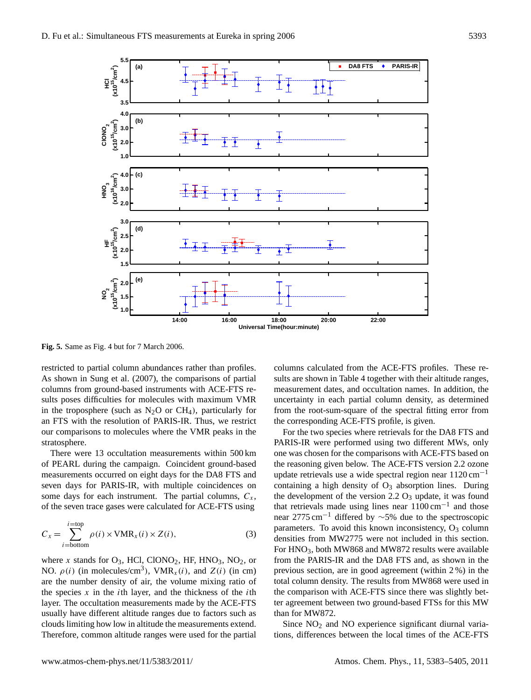

**Fig. 5.** Same as Fig. 4 but for 7 March 2006.

restricted to partial column abundances rather than profiles. As shown in Sung et al. (2007), the comparisons of partial columns from ground-based instruments with ACE-FTS results poses difficulties for molecules with maximum VMR in the troposphere (such as  $N_2O$  or CH<sub>4</sub>), particularly for an FTS with the resolution of PARIS-IR. Thus, we restrict our comparisons to molecules where the VMR peaks in the stratosphere.

There were 13 occultation measurements within 500 km of PEARL during the campaign. Coincident ground-based measurements occurred on eight days for the DA8 FTS and seven days for PARIS-IR, with multiple coincidences on some days for each instrument. The partial columns,  $C_x$ , of the seven trace gases were calculated for ACE-FTS using

$$
C_x = \sum_{i=\text{bottom}}^{i=\text{top}} \rho(i) \times \text{VMR}_x(i) \times Z(i),\tag{3}
$$

where x stands for  $O_3$ , HCl, ClONO<sub>2</sub>, HF, HNO<sub>3</sub>, NO<sub>2</sub>, or NO.  $\rho(i)$  (in molecules/cm<sup>3</sup>), VMR<sub>x</sub>(i), and Z(i) (in cm) are the number density of air, the volume mixing ratio of the species  $x$  in the *i*th layer, and the thickness of the *i*th layer. The occultation measurements made by the ACE-FTS usually have different altitude ranges due to factors such as clouds limiting how low in altitude the measurements extend. Therefore, common altitude ranges were used for the partial

columns calculated from the ACE-FTS profiles. These results are shown in Table 4 together with their altitude ranges, measurement dates, and occultation names. In addition, the uncertainty in each partial column density, as determined from the root-sum-square of the spectral fitting error from the corresponding ACE-FTS profile, is given.

For the two species where retrievals for the DA8 FTS and PARIS-IR were performed using two different MWs, only one was chosen for the comparisons with ACE-FTS based on the reasoning given below. The ACE-FTS version 2.2 ozone update retrievals use a wide spectral region near 1120 cm−<sup>1</sup> containing a high density of  $O_3$  absorption lines. During the development of the version  $2.2 \text{ O}_3$  update, it was found that retrievals made using lines near 1100 cm−<sup>1</sup> and those near 2775 cm−<sup>1</sup> differed by ∼5% due to the spectroscopic parameters. To avoid this known inconsistency,  $O_3$  column densities from MW2775 were not included in this section. For HNO3, both MW868 and MW872 results were available from the PARIS-IR and the DA8 FTS and, as shown in the previous section, are in good agreement (within 2 %) in the total column density. The results from MW868 were used in the comparison with ACE-FTS since there was slightly better agreement between two ground-based FTSs for this MW than for MW872.

Since  $NO<sub>2</sub>$  and  $NO$  experience significant diurnal variations, differences between the local times of the ACE-FTS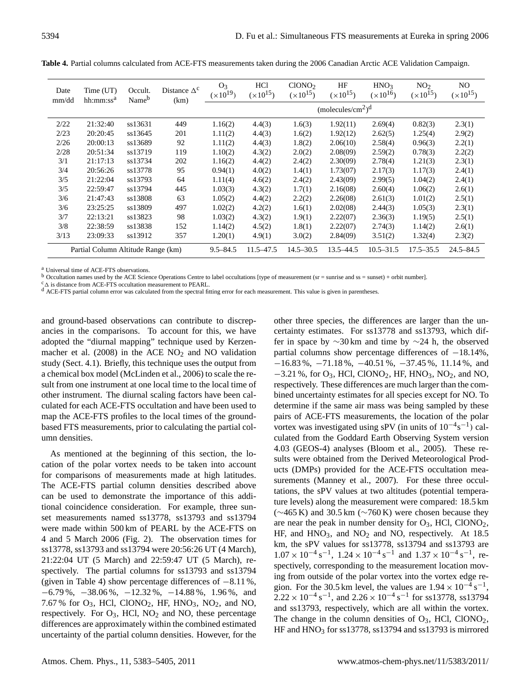| Date<br>mm/dd                      | Time (UT)<br>$hh:mm:ss^a$ | Occult.<br>Name <sup>b</sup> | Distance $\Delta^c$<br>(km) | O <sub>3</sub><br>$(x10^{19})$ | HC <sub>1</sub><br>$(x10^{15})$ | CIONO <sub>2</sub><br>$(x10^{15})$ | HF<br>$(x10^{15})$                        | HNO <sub>3</sub><br>$(x10^{16})$ | NO <sub>2</sub><br>$(x10^{15})$ | NO.<br>$(x10^{15})$ |
|------------------------------------|---------------------------|------------------------------|-----------------------------|--------------------------------|---------------------------------|------------------------------------|-------------------------------------------|----------------------------------|---------------------------------|---------------------|
|                                    |                           |                              |                             |                                |                                 |                                    | (molecules/cm <sup>2</sup> ) <sup>d</sup> |                                  |                                 |                     |
| 2/22                               | 21:32:40                  | ss13631                      | 449                         | 1.16(2)                        | 4.4(3)                          | 1.6(3)                             | 1.92(11)                                  | 2.69(4)                          | 0.82(3)                         | 2.3(1)              |
| 2/23                               | 20:20:45                  | ss13645                      | 201                         | 1.11(2)                        | 4.4(3)                          | 1.6(2)                             | 1.92(12)                                  | 2.62(5)                          | 1.25(4)                         | 2.9(2)              |
| 2/26                               | 20:00:13                  | ss13689                      | 92                          | 1.11(2)                        | 4.4(3)                          | 1.8(2)                             | 2.06(10)                                  | 2.58(4)                          | 0.96(3)                         | 2.2(1)              |
| 2/28                               | 20:51:34                  | ss13719                      | 119                         | 1.10(2)                        | 4.3(2)                          | 2.0(2)                             | 2.08(09)                                  | 2.59(2)                          | 0.78(3)                         | 2.2(2)              |
| 3/1                                | 21:17:13                  | ss13734                      | 202                         | 1.16(2)                        | 4.4(2)                          | 2.4(2)                             | 2.30(09)                                  | 2.78(4)                          | 1.21(3)                         | 2.3(1)              |
| 3/4                                | 20:56:26                  | ss13778                      | 95                          | 0.94(1)                        | 4.0(2)                          | 1.4(1)                             | 1.73(07)                                  | 2.17(3)                          | 1.17(3)                         | 2.4(1)              |
| 3/5                                | 21:22:04                  | ss13793                      | 64                          | 1.11(4)                        | 4.6(2)                          | 2.4(2)                             | 2.43(09)                                  | 2.99(5)                          | 1.04(2)                         | 2.4(1)              |
| 3/5                                | 22:59:47                  | ss13794                      | 445                         | 1.03(3)                        | 4.3(2)                          | 1.7(1)                             | 2.16(08)                                  | 2.60(4)                          | 1.06(2)                         | 2.6(1)              |
| 3/6                                | 21:47:43                  | ss13808                      | 63                          | 1.05(2)                        | 4.4(2)                          | 2.2(2)                             | 2.26(08)                                  | 2.61(3)                          | 1.01(2)                         | 2.5(1)              |
| 3/6                                | 23:25:25                  | ss13809                      | 497                         | 1.02(2)                        | 4.2(2)                          | 1.6(1)                             | 2.02(08)                                  | 2.44(3)                          | 1.05(3)                         | 2.3(1)              |
| 3/7                                | 22:13:21                  | ss13823                      | 98                          | 1.03(2)                        | 4.3(2)                          | 1.9(1)                             | 2.22(07)                                  | 2.36(3)                          | 1.19(5)                         | 2.5(1)              |
| 3/8                                | 22:38:59                  | ss13838                      | 152                         | 1.14(2)                        | 4.5(2)                          | 1.8(1)                             | 2.22(07)                                  | 2.74(3)                          | 1.14(2)                         | 2.6(1)              |
| 3/13                               | 23:09:33                  | ss13912                      | 357                         | 1.20(1)                        | 4.9(1)                          | 3.0(2)                             | 2.84(09)                                  | 3.51(2)                          | 1.32(4)                         | 2.3(2)              |
| Partial Column Altitude Range (km) |                           |                              | $9.5 - 84.5$                | $11.5 - 47.5$                  | $14.5 - 30.5$                   | 13.5–44.5                          | $10.5 - 31.5$                             | $17.5 - 35.5$                    | $24.5 - 84.5$                   |                     |

**Table 4.** Partial columns calculated from ACE-FTS measurements taken during the 2006 Canadian Arctic ACE Validation Campaign.

<sup>a</sup> Universal time of ACE-FTS observations.

 $<sup>b</sup>$  Occultation names used by the ACE Science Operations Centre to label occultations [type of measurement (sr = sunrise and ss = sunset) + orbit number].</sup>

 $\Delta$  is distance from ACE-FTS occultation measurement to PEARL

<sup>d</sup> ACE-FTS partial column error was calculated from the spectral fitting error for each measurement. This value is given in parentheses.

and ground-based observations can contribute to discrepancies in the comparisons. To account for this, we have adopted the "diurnal mapping" technique used by Kerzenmacher et al. (2008) in the ACE  $NO<sub>2</sub>$  and NO validation study (Sect. 4.1). Briefly, this technique uses the output from a chemical box model (McLinden et al., 2006) to scale the result from one instrument at one local time to the local time of other instrument. The diurnal scaling factors have been calculated for each ACE-FTS occultation and have been used to map the ACE-FTS profiles to the local times of the groundbased FTS measurements, prior to calculating the partial column densities.

As mentioned at the beginning of this section, the location of the polar vortex needs to be taken into account for comparisons of measurements made at high latitudes. The ACE-FTS partial column densities described above can be used to demonstrate the importance of this additional coincidence consideration. For example, three sunset measurements named ss13778, ss13793 and ss13794 were made within 500 km of PEARL by the ACE-FTS on 4 and 5 March 2006 (Fig. 2). The observation times for ss13778, ss13793 and ss13794 were 20:56:26 UT (4 March), 21:22:04 UT (5 March) and 22:59:47 UT (5 March), respectively. The partial columns for ss13793 and ss13794 (given in Table 4) show percentage differences of −8.11 %,  $-6.79\%$ ,  $-38.06\%$ ,  $-12.32\%$ ,  $-14.88\%$ , 1.96%, and 7.67 % for  $O_3$ , HCl, ClONO<sub>2</sub>, HF, HNO<sub>3</sub>, NO<sub>2</sub>, and NO, respectively. For  $O_3$ , HCl, NO<sub>2</sub> and NO, these percentage differences are approximately within the combined estimated uncertainty of the partial column densities. However, for the other three species, the differences are larger than the uncertainty estimates. For ss13778 and ss13793, which differ in space by ∼30 km and time by ∼24 h, the observed partial columns show percentage differences of −18.14%, −16.83 %, −71.18 %, −40.51 %, −37.45 %, 11.14 %, and  $-3.21$  %, for  $O_3$ , HCl, ClONO<sub>2</sub>, HF, HNO<sub>3</sub>, NO<sub>2</sub>, and NO, respectively. These differences are much larger than the combined uncertainty estimates for all species except for NO. To determine if the same air mass was being sampled by these pairs of ACE-FTS measurements, the location of the polar vortex was investigated using sPV (in units of  $10^{-4}$ s<sup>-1</sup>) calculated from the Goddard Earth Observing System version 4.03 (GEOS-4) analyses (Bloom et al., 2005). These results were obtained from the Derived Meteorological Products (DMPs) provided for the ACE-FTS occultation measurements (Manney et al., 2007). For these three occultations, the sPV values at two altitudes (potential temperature levels) along the measurement were compared: 18.5 km  $(\sim 465 \text{ K})$  and 30.5 km ( $\sim 760 \text{ K}$ ) were chosen because they are near the peak in number density for  $O_3$ , HCl, ClON $O_2$ , HF, and  $HNO<sub>3</sub>$ , and  $NO<sub>2</sub>$  and  $NO<sub>2</sub>$  respectively. At 18.5 km, the sPV values for ss13778, ss13794 and ss13793 are  $1.07 \times 10^{-4}$  s<sup>-1</sup>,  $1.24 \times 10^{-4}$  s<sup>-1</sup> and  $1.37 \times 10^{-4}$  s<sup>-1</sup>, respectively, corresponding to the measurement location moving from outside of the polar vortex into the vortex edge region. For the 30.5 km level, the values are  $1.94 \times 10^{-4}$  s<sup>-1</sup>,  $2.22 \times 10^{-4}$  s<sup>-1</sup>, and  $2.26 \times 10^{-4}$  s<sup>-1</sup> for ss13778, ss13794 and ss13793, respectively, which are all within the vortex. The change in the column densities of  $O_3$ , HCl, ClON $O_2$ , HF and  $HNO<sub>3</sub>$  for ss13778, ss13794 and ss13793 is mirrored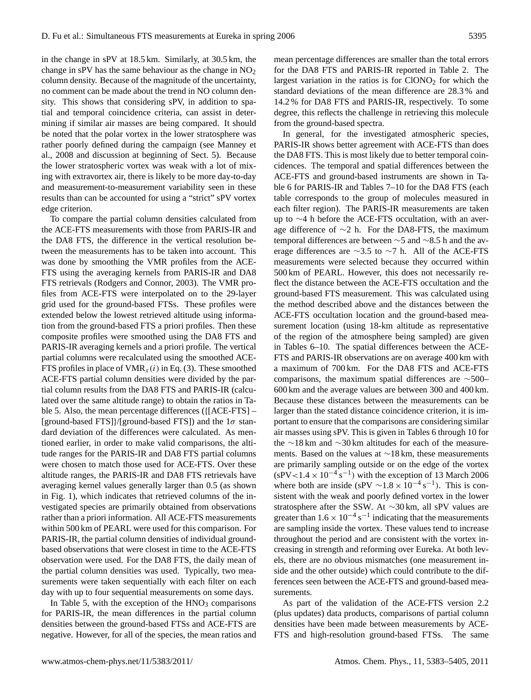in the change in sPV at 18.5 km. Similarly, at 30.5 km, the change in sPV has the same behaviour as the change in  $NO<sub>2</sub>$ column density. Because of the magnitude of the uncertainty, no comment can be made about the trend in NO column density. This shows that considering sPV, in addition to spatial and temporal coincidence criteria, can assist in determining if similar air masses are being compared. It should be noted that the polar vortex in the lower stratosphere was rather poorly defined during the campaign (see Manney et al., 2008 and discussion at beginning of Sect. 5). Because the lower stratospheric vortex was weak with a lot of mixing with extravortex air, there is likely to be more day-to-day and measurement-to-measurement variability seen in these results than can be accounted for using a "strict" sPV vortex edge criterion.

To compare the partial column densities calculated from the ACE-FTS measurements with those from PARIS-IR and the DA8 FTS, the difference in the vertical resolution between the measurements has to be taken into account. This was done by smoothing the VMR profiles from the ACE-FTS using the averaging kernels from PARIS-IR and DA8 FTS retrievals (Rodgers and Connor, 2003). The VMR profiles from ACE-FTS were interpolated on to the 29-layer grid used for the ground-based FTSs. These profiles were extended below the lowest retrieved altitude using information from the ground-based FTS a priori profiles. Then these composite profiles were smoothed using the DA8 FTS and PARIS-IR averaging kernels and a priori profile. The vertical partial columns were recalculated using the smoothed ACE-FTS profiles in place of  $VMR<sub>x</sub>(i)$  in Eq. (3). These smoothed ACE-FTS partial column densities were divided by the partial column results from the DA8 FTS and PARIS-IR (calculated over the same altitude range) to obtain the ratios in Table 5. Also, the mean percentage differences ({[ACE-FTS] – [ground-based FTS]}/[ground-based FTS]) and the  $1\sigma$  standard deviation of the differences were calculated. As mentioned earlier, in order to make valid comparisons, the altitude ranges for the PARIS-IR and DA8 FTS partial columns were chosen to match those used for ACE-FTS. Over these altitude ranges, the PARIS-IR and DA8 FTS retrievals have averaging kernel values generally larger than 0.5 (as shown in Fig. 1), which indicates that retrieved columns of the investigated species are primarily obtained from observations rather than a priori information. All ACE-FTS measurements within 500 km of PEARL were used for this comparison. For PARIS-IR, the partial column densities of individual groundbased observations that were closest in time to the ACE-FTS observation were used. For the DA8 FTS, the daily mean of the partial column densities was used. Typically, two measurements were taken sequentially with each filter on each day with up to four sequential measurements on some days.

In Table 5, with the exception of the  $HNO<sub>3</sub>$  comparisons for PARIS-IR, the mean differences in the partial column densities between the ground-based FTSs and ACE-FTS are negative. However, for all of the species, the mean ratios and

mean percentage differences are smaller than the total errors for the DA8 FTS and PARIS-IR reported in Table 2. The largest variation in the ratios is for  $CIONO<sub>2</sub>$  for which the standard deviations of the mean difference are 28.3 % and 14.2 % for DA8 FTS and PARIS-IR, respectively. To some degree, this reflects the challenge in retrieving this molecule from the ground-based spectra.

In general, for the investigated atmospheric species, PARIS-IR shows better agreement with ACE-FTS than does the DA8 FTS. This is most likely due to better temporal coincidences. The temporal and spatial differences between the ACE-FTS and ground-based instruments are shown in Table 6 for PARIS-IR and Tables 7–10 for the DA8 FTS (each table corresponds to the group of molecules measured in each filter region). The PARIS-IR measurements are taken up to ∼4 h before the ACE-FTS occultation, with an average difference of ∼2 h. For the DA8-FTS, the maximum temporal differences are between ∼5 and ∼8.5 h and the average differences are  $\sim$ 3.5 to  $\sim$ 7 h. All of the ACE-FTS measurements were selected because they occurred within 500 km of PEARL. However, this does not necessarily reflect the distance between the ACE-FTS occultation and the ground-based FTS measurement. This was calculated using the method described above and the distances between the ACE-FTS occultation location and the ground-based measurement location (using 18-km altitude as representative of the region of the atmosphere being sampled) are given in Tables 6–10. The spatial differences between the ACE-FTS and PARIS-IR observations are on average 400 km with a maximum of 700 km. For the DA8 FTS and ACE-FTS comparisons, the maximum spatial differences are ∼500– 600 km and the average values are between 300 and 400 km. Because these distances between the measurements can be larger than the stated distance coincidence criterion, it is important to ensure that the comparisons are considering similar air masses using sPV. This is given in Tables 6 through 10 for the ∼18 km and ∼30 km altitudes for each of the measurements. Based on the values at ∼18 km, these measurements are primarily sampling outside or on the edge of the vortex  $(sPV < 1.4 \times 10^{-4} \text{ s}^{-1})$  with the exception of 13 March 2006 where both are inside (sPV  $\sim$ 1.8 × 10<sup>-4</sup> s<sup>-1</sup>). This is consistent with the weak and poorly defined vortex in the lower stratosphere after the SSW. At ∼30 km, all sPV values are greater than  $1.6 \times 10^{-4}$  s<sup>-1</sup> indicating that the measurements are sampling inside the vortex. These values tend to increase throughout the period and are consistent with the vortex increasing in strength and reforming over Eureka. At both levels, there are no obvious mismatches (one measurement inside and the other outside) which could contribute to the differences seen between the ACE-FTS and ground-based measurements.

As part of the validation of the ACE-FTS version 2.2 (plus updates) data products, comparisons of partial column densities have been made between measurements by ACE-FTS and high-resolution ground-based FTSs. The same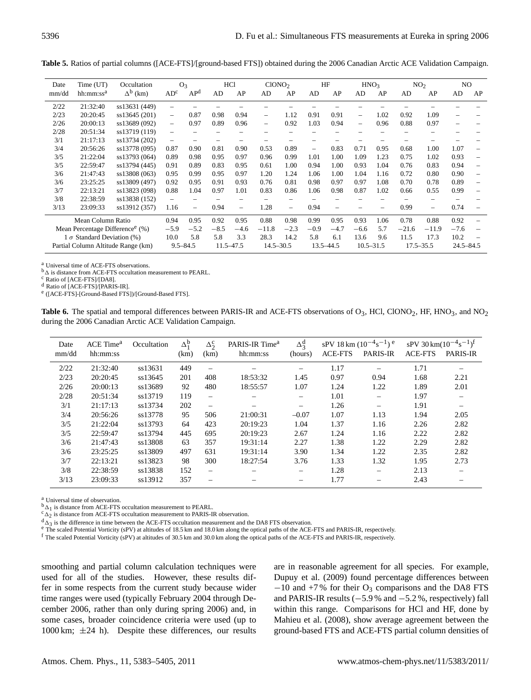| Date                                        | Time (UT)             | Occultation     |                 | O <sub>3</sub>  |           | HCl                      | CIONO <sub>2</sub> |                          |                          | HF       | HNO <sub>3</sub>         |      |               | NO <sub>2</sub>          | NO.           |                          |
|---------------------------------------------|-----------------------|-----------------|-----------------|-----------------|-----------|--------------------------|--------------------|--------------------------|--------------------------|----------|--------------------------|------|---------------|--------------------------|---------------|--------------------------|
| mm/dd                                       | hh:mm:ss <sup>a</sup> | $\Delta^b$ (km) | AD <sup>c</sup> | AP <sup>d</sup> | AD        | AP                       | AD                 | AP                       | AD                       | AP       | AD                       | AP   | AD            | AP                       | AD            | AP                       |
| 2/22                                        | 21:32:40              | ss13631 (449)   | -               |                 |           |                          |                    |                          |                          |          |                          |      |               |                          |               |                          |
| 2/23                                        | 20:20:45              | ss13645 (201)   | $\equiv$        | 0.87            | 0.98      | 0.94                     | $\equiv$           | 1.12                     | 0.91                     | 0.91     | $\overline{\phantom{0}}$ | 1.02 | 0.92          | 1.09                     | -             |                          |
| 2/26                                        | 20:00:13              | ss13689 (092)   | $\equiv$        | 0.97            | 0.89      | 0.96                     | $\equiv$           | 0.92                     | 1.03                     | 0.94     | $\overline{\phantom{0}}$ | 0.96 | 0.88          | 0.97                     | -             |                          |
| 2/28                                        | 20:51:34              | ss13719 (119)   | $\equiv$        |                 |           |                          |                    |                          |                          |          |                          |      |               |                          |               |                          |
| 3/1                                         | 21:17:13              | ss13734 (202)   | $\equiv$        |                 |           |                          |                    |                          |                          |          |                          |      |               |                          |               |                          |
| 3/4                                         | 20:56:26              | ss13778 (095)   | 0.87            | 0.90            | 0.81      | 0.90                     | 0.53               | 0.89                     | $\overline{\phantom{m}}$ | 0.83     | 0.71                     | 0.95 | 0.68          | 1.00                     | 1.07          |                          |
| 3/5                                         | 21:22:04              | ss13793 (064)   | 0.89            | 0.98            | 0.95      | 0.97                     | 0.96               | 0.99                     | 1.01                     | 1.00     | 1.09                     | 1.23 | 0.75          | 1.02                     | 0.93          | $\overline{\phantom{0}}$ |
| 3/5                                         | 22:59:47              | ss13794 (445)   | 0.91            | 0.89            | 0.83      | 0.95                     | 0.61               | 1.00                     | 0.94                     | 1.00     | 0.93                     | 1.04 | 0.76          | 0.83                     | 0.94          |                          |
| 3/6                                         | 21:47:43              | ss13808 (063)   | 0.95            | 0.99            | 0.95      | 0.97                     | 1.20               | 1.24                     | 1.06                     | 1.00     | 1.04                     | 1.16 | 0.72          | 0.80                     | 0.90          | $\overline{\phantom{0}}$ |
| 3/6                                         | 23:25:25              | ss13809 (497)   | 0.92            | 0.95            | 0.91      | 0.93                     | 0.76               | 0.81                     | 0.98                     | 0.97     | 0.97                     | 1.08 | 0.70          | 0.78                     | 0.89          |                          |
| 3/7                                         | 22:13:21              | ss13823 (098)   | 0.88            | 1.04            | 0.97      | 1.01                     | 0.83               | 0.86                     | 1.06                     | 0.98     | 0.87                     | 1.02 | 0.66          | 0.55                     | 0.99          |                          |
| 3/8                                         | 22:38:59              | ss13838 (152)   | $\equiv$        |                 |           |                          |                    |                          |                          |          |                          |      |               |                          | -             |                          |
| 3/13                                        | 23:09:33              | ss13912 (357)   | 1.16            | $\equiv$        | 0.94      | $\overline{\phantom{0}}$ | 1.28               | $\overline{\phantom{m}}$ | 0.94                     | $\equiv$ |                          |      | 0.99          | $\overline{\phantom{0}}$ | 0.74          |                          |
| Mean Column Ratio                           |                       | 0.94            | 0.95            | 0.92            | 0.95      | 0.88                     | 0.98               | 0.99                     | 0.95                     | 0.93     | 1.06                     | 0.78 | 0.88          | 0.92                     |               |                          |
| Mean Percentage Difference <sup>e</sup> (%) |                       |                 | $-5.9$          | $-5.2$          | $-8.5$    | $-4.6$                   | $-11.8$            | $-2.3$                   | $-0.9$                   | $-4.7$   | $-6.6$                   | 5.7  | $-21.6$       | $-11.9$                  | $-7.6$        |                          |
| $1 \sigma$ Standard Deviation (%)           |                       | 10.0            | 5.8             | 5.8             | 3.3       | 28.3                     | 14.2               | 5.8                      | 6.1                      | 13.6     | 9.6                      | 11.5 | 17.3          | 10.2                     |               |                          |
| Partial Column Altitude Range (km)          |                       |                 | $9.5 - 84.5$    |                 | 11.5-47.5 |                          | $14.5 - 30.5$      |                          | 13.5-44.5                |          | $10.5 - 31.5$            |      | $17.5 - 35.5$ |                          | $24.5 - 84.5$ |                          |

**Table 5.** Ratios of partial columns ([ACE-FTS]/[ground-based FTS]) obtained during the 2006 Canadian Arctic ACE Validation Campaign.

<sup>a</sup> Universal time of ACE-FTS observations.

 $b_A$  is distance from ACE-FTS occultation measurement to PEARL.

<sup>c</sup> Ratio of [ACE-FTS]/[DA8].

<sup>d</sup> Ratio of [ACE-FTS]/[PARIS-IR].

e ([ACE-FTS]-[Ground-Based FTS])/[Ground-Based FTS].

**Table 6.** The spatial and temporal differences between PARIS-IR and ACE-FTS observations of  $O_3$ , HCl, ClONO<sub>2</sub>, HF, HNO<sub>3</sub>, and NO<sub>2</sub> during the 2006 Canadian Arctic ACE Validation Campaign.

| Date  | ACE Time <sup>a</sup> | Occultation | $\Delta_1^b$ | $\Delta^c_2$             | PARIS-IR Time <sup>a</sup> | $\Delta_3^d$             |                | sPV 18 km $(10^{-4}s^{-1})$ e | $sPV$ 30 km $(10^{-4}s^{-1})$ <sup>f</sup> |                          |
|-------|-----------------------|-------------|--------------|--------------------------|----------------------------|--------------------------|----------------|-------------------------------|--------------------------------------------|--------------------------|
| mm/dd | hh:mm:ss              |             | (km)         | (km)                     | hh:mm:ss                   | (hours)                  | <b>ACE-FTS</b> | <b>PARIS-IR</b>               | <b>ACE-FTS</b>                             | <b>PARIS-IR</b>          |
| 2/22  | 21:32:40              | ss13631     | 449          | $\overline{\phantom{0}}$ |                            |                          | 1.17           |                               | 1.71                                       |                          |
| 2/23  | 20:20:45              | ss13645     | 201          | 408                      | 18:53:32                   | 1.45                     | 0.97           | 0.94                          | 1.68                                       | 2.21                     |
| 2/26  | 20:00:13              | ss13689     | 92           | 480                      | 18:55:57                   | 1.07                     | 1.24           | 1.22                          | 1.89                                       | 2.01                     |
| 2/28  | 20:51:34              | ss13719     | 119          | -                        |                            | $\overline{\phantom{m}}$ | 1.01           | -                             | 1.97                                       |                          |
| 3/1   | 21:17:13              | ss13734     | 202          | $\overline{\phantom{m}}$ | $\overline{\phantom{0}}$   | $\overline{\phantom{m}}$ | 1.26           | $\overline{\phantom{0}}$      | 1.91                                       | $\overline{\phantom{0}}$ |
| 3/4   | 20:56:26              | ss13778     | 95           | 506                      | 21:00:31                   | $-0.07$                  | 1.07           | 1.13                          | 1.94                                       | 2.05                     |
| 3/5   | 21:22:04              | ss13793     | 64           | 423                      | 20:19:23                   | 1.04                     | 1.37           | 1.16                          | 2.26                                       | 2.82                     |
| 3/5   | 22:59:47              | ss13794     | 445          | 695                      | 20:19:23                   | 2.67                     | 1.24           | 1.16                          | 2.22                                       | 2.82                     |
| 3/6   | 21:47:43              | ss13808     | 63           | 357                      | 19:31:14                   | 2.27                     | 1.38           | 1.22                          | 2.29                                       | 2.82                     |
| 3/6   | 23:25:25              | ss13809     | 497          | 631                      | 19:31:14                   | 3.90                     | 1.34           | 1.22                          | 2.35                                       | 2.82                     |
| 3/7   | 22:13:21              | ss13823     | 98           | 300                      | 18:27:54                   | 3.76                     | 1.33           | 1.32                          | 1.95                                       | 2.73                     |
| 3/8   | 22:38:59              | ss13838     | 152          | $\overline{\phantom{0}}$ |                            | $\overline{\phantom{m}}$ | 1.28           | $\overline{\phantom{0}}$      | 2.13                                       |                          |
| 3/13  | 23:09:33              | ss13912     | 357          | -                        |                            | $\overline{\phantom{a}}$ | 1.77           |                               | 2.43                                       |                          |

<sup>a</sup> Universal time of observation.

 $b_{\Delta_1}$  is distance from ACE-FTS occultation measurement to PEARL.

 $c_{\Delta_2}$  is distance from ACE-FTS occultation measurement to PARIS-IR observation.

 $d_{\Delta_3}$  is the difference in time between the ACE-FTS occultation measurement and the DA8 FTS observation.

<sup>e</sup> The scaled Potential Vorticity (sPV) at altitudes of 18.5 km and 18.0 km along the optical paths of the ACE-FTS and PARIS-IR, respectively.

<sup>f</sup> The scaled Potential Vorticity (sPV) at altitudes of 30.5 km and 30.0 km along the optical paths of the ACE-FTS and PARIS-IR, respectively.

smoothing and partial column calculation techniques were used for all of the studies. However, these results differ in some respects from the current study because wider time ranges were used (typically February 2004 through December 2006, rather than only during spring 2006) and, in some cases, broader coincidence criteria were used (up to  $1000 \text{ km}$ ;  $\pm 24 \text{ h}$ ). Despite these differences, our results are in reasonable agreement for all species. For example, Dupuy et al. (2009) found percentage differences between  $-10$  and +7% for their O<sub>3</sub> comparisons and the DA8 FTS and PARIS-IR results (−5.9 % and −5.2 %, respectively) fall within this range. Comparisons for HCl and HF, done by Mahieu et al. (2008), show average agreement between the ground-based FTS and ACE-FTS partial column densities of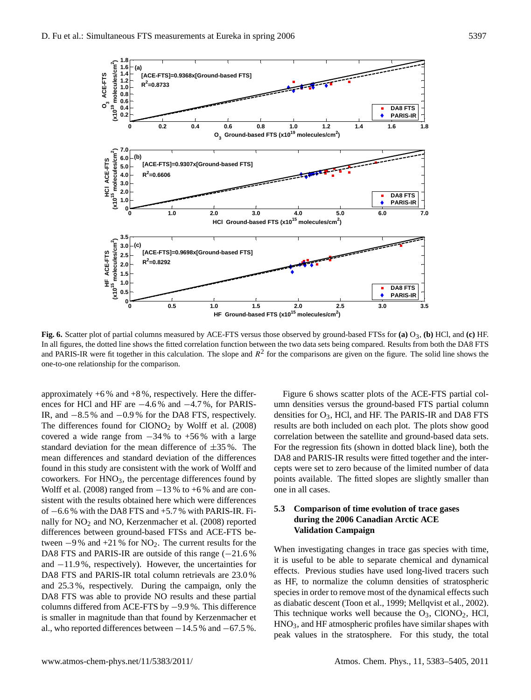

**Fig. 6.** Scatter plot of partial columns measured by ACE-FTS versus those observed by ground-based FTSs for **(a)** O3, **(b)** HCl, and **(c)** HF. In all figures, the dotted line shows the fitted correlation function between the two data sets being compared. Results from both the DA8 FTS and PARIS-IR were fit together in this calculation. The slope and  $R^2$  for the comparisons are given on the figure. The solid line shows the one-to-one relationship for the comparison.

approximately  $+6\%$  and  $+8\%$ , respectively. Here the differences for HCl and HF are −4.6 % and −4.7 %, for PARIS-IR, and −8.5 % and −0.9 % for the DA8 FTS, respectively. The differences found for  $CIONO<sub>2</sub>$  by Wolff et al. (2008) covered a wide range from  $-34\%$  to  $+56\%$  with a large standard deviation for the mean difference of  $\pm 35$ %. The mean differences and standard deviation of the differences found in this study are consistent with the work of Wolff and coworkers. For  $HNO<sub>3</sub>$ , the percentage differences found by Wolff et al. (2008) ranged from  $-13%$  to +6% and are consistent with the results obtained here which were differences of −6.6 % with the DA8 FTS and +5.7 % with PARIS-IR. Finally for  $NO<sub>2</sub>$  and  $NO<sub>2</sub>$ . Kerzenmacher et al. (2008) reported differences between ground-based FTSs and ACE-FTS between  $-9\%$  and  $+21\%$  for NO<sub>2</sub>. The current results for the DA8 FTS and PARIS-IR are outside of this range (−21.6 % and −11.9 %, respectively). However, the uncertainties for DA8 FTS and PARIS-IR total column retrievals are 23.0 % and 25.3 %, respectively. During the campaign, only the DA8 FTS was able to provide NO results and these partial columns differed from ACE-FTS by −9.9 %. This difference is smaller in magnitude than that found by Kerzenmacher et al., who reported differences between −14.5 % and −67.5 %.

Figure 6 shows scatter plots of the ACE-FTS partial column densities versus the ground-based FTS partial column densities for  $O_3$ , HCl, and HF. The PARIS-IR and DA8 FTS results are both included on each plot. The plots show good correlation between the satellite and ground-based data sets. For the regression fits (shown in dotted black line), both the DA8 and PARIS-IR results were fitted together and the intercepts were set to zero because of the limited number of data points available. The fitted slopes are slightly smaller than one in all cases.

# **5.3 Comparison of time evolution of trace gases during the 2006 Canadian Arctic ACE Validation Campaign**

When investigating changes in trace gas species with time, it is useful to be able to separate chemical and dynamical effects. Previous studies have used long-lived tracers such as HF, to normalize the column densities of stratospheric species in order to remove most of the dynamical effects such as diabatic descent (Toon et al., 1999; Mellqvist et al., 2002). This technique works well because the  $O_3$ , ClONO<sub>2</sub>, HCl, HNO3, and HF atmospheric profiles have similar shapes with peak values in the stratosphere. For this study, the total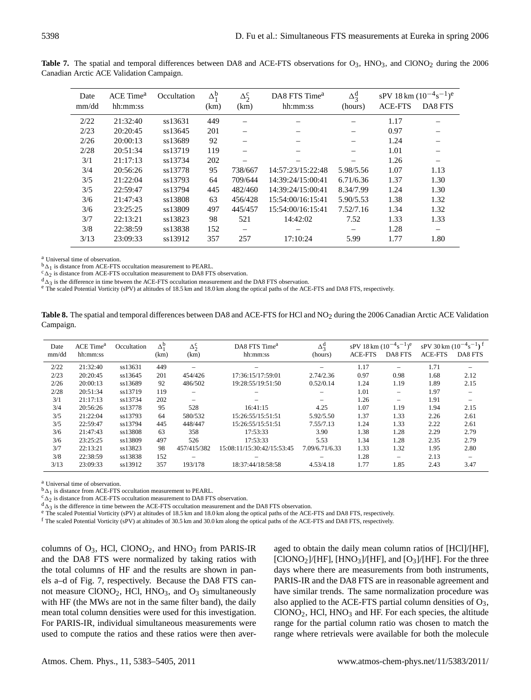| Date  | ACE Time <sup>a</sup> | Occultation | $\Delta_1^b$ | $\Delta_2^c$ | DA8 FTS Time <sup>a</sup> | $\Delta_3^d$ |                | sPV 18 km $(10^{-4}s^{-1})^e$ |  |
|-------|-----------------------|-------------|--------------|--------------|---------------------------|--------------|----------------|-------------------------------|--|
| mm/dd | hh:mm:ss              |             | (km)         | (km)         | hh:mm:ss                  | (hours)      | <b>ACE-FTS</b> | DA8 FTS                       |  |
| 2/22  | 21:32:40              | ss13631     | 449          |              |                           |              | 1.17           |                               |  |
| 2/23  | 20:20:45              | ss13645     | 201          |              |                           |              | 0.97           |                               |  |
| 2/26  | 20:00:13              | ss13689     | 92           |              |                           |              | 1.24           |                               |  |
| 2/28  | 20:51:34              | ss13719     | 119          | —            |                           |              | 1.01           |                               |  |
| 3/1   | 21:17:13              | ss13734     | 202          |              |                           |              | 1.26           |                               |  |
| 3/4   | 20:56:26              | ss13778     | 95           | 738/667      | 14:57:23/15:22:48         | 5.98/5.56    | 1.07           | 1.13                          |  |
| 3/5   | 21:22:04              | ss13793     | 64           | 709/644      | 14:39:24/15:00:41         | 6.71/6.36    | 1.37           | 1.30                          |  |
| 3/5   | 22:59:47              | ss13794     | 445          | 482/460      | 14:39:24/15:00:41         | 8.34/7.99    | 1.24           | 1.30                          |  |
| 3/6   | 21:47:43              | ss13808     | 63           | 456/428      | 15:54:00/16:15:41         | 5.90/5.53    | 1.38           | 1.32                          |  |
| 3/6   | 23:25:25              | ss13809     | 497          | 445/457      | 15:54:00/16:15:41         | 7.52/7.16    | 1.34           | 1.32                          |  |
| 3/7   | 22:13:21              | ss13823     | 98           | 521          | 14:42:02                  | 7.52         | 1.33           | 1.33                          |  |
| 3/8   | 22:38:59              | ss13838     | 152          |              |                           |              | 1.28           |                               |  |
| 3/13  | 23:09:33              | ss13912     | 357          | 257          | 17:10:24                  | 5.99         | 1.77           | 1.80                          |  |
|       |                       |             |              |              |                           |              |                |                               |  |

**Table 7.** The spatial and temporal differences between DA8 and ACE-FTS observations for  $O_3$ , HNO<sub>3</sub>, and ClONO<sub>2</sub> during the 2006 Canadian Arctic ACE Validation Campaign.

<sup>a</sup> Universal time of observation.

 $\frac{b}{11}$  is distance from ACE-FTS occultation measurement to PEARL.

 $c_{\text{A}_2}$  is distance from ACE-FTS occultation measurement to DA8 FTS observation.

 $d_{3}$  is the difference in time btween the ACE-FTS occultation measurement and the DA8 FTS observation.

<sup>e</sup> The scaled Potential Vorticity (sPV) at altitudes of 18.5 km and 18.0 km along the optical paths of the ACE-FTS and DA8 FTS, respectively.

Table 8. The spatial and temporal differences between DA8 and ACE-FTS for HCl and NO<sub>2</sub> during the 2006 Canadian Arctic ACE Validation Campaign.

| Date  | ACE Time <sup>a</sup> | Occultation | $\Delta_1^b$ | $\Delta_2^c$             | DA8 FTS Time <sup>a</sup>  | $\Delta_3^d$   | sPV 18 km $(10^{-4}s^{-1})^e$ |                          |                | sPV 30 km $(10^{-4}s^{-1})$ f |
|-------|-----------------------|-------------|--------------|--------------------------|----------------------------|----------------|-------------------------------|--------------------------|----------------|-------------------------------|
| mm/dd | hh:mm:ss              |             | (km)         | (km)                     | hh:mm:ss                   | (hours)        | <b>ACE-FTS</b>                | DA8 FTS                  | <b>ACE-FTS</b> | DA8 FTS                       |
| 2/22  | 21:32:40              | ss13631     | 449          |                          |                            |                | 1.17                          |                          | 1.71           |                               |
| 2/23  | 20:20:45              | ss13645     | 201          | 454/426                  | 17:36:15/17:59:01          | 2.74/2.36      | 0.97                          | 0.98                     | 1.68           | 2.12                          |
| 2/26  | 20:00:13              | ss13689     | 92           | 486/502                  | 19:28:55/19:51:50          | 0.52/0.14      | 1.24                          | 1.19                     | 1.89           | 2.15                          |
| 2/28  | 20:51:34              | ss13719     | 119          |                          |                            |                | 1.01                          | $\equiv$                 | 1.97           |                               |
| 3/1   | 21:17:13              | ss13734     | 202          | $\overline{\phantom{0}}$ | $\overline{\phantom{0}}$   | $-$            | 1.26                          | -                        | 1.91           | $\overline{\phantom{0}}$      |
| 3/4   | 20:56:26              | ss13778     | 95           | 528                      | 16:41:15                   | 4.25           | 1.07                          | 1.19                     | 1.94           | 2.15                          |
| 3/5   | 21:22:04              | ss13793     | 64           | 580/532                  | 15:26:55/15:51:51          | 5.92/5.50      | 1.37                          | 1.33                     | 2.26           | 2.61                          |
| 3/5   | 22:59:47              | ss13794     | 445          | 448/447                  | 15:26:55/15:51:51          | 7.55/7.13      | 1.24                          | 1.33                     | 2.22           | 2.61                          |
| 3/6   | 21:47:43              | ss13808     | 63           | 358                      | 17:53:33                   | 3.90           | 1.38                          | 1.28                     | 2.29           | 2.79                          |
| 3/6   | 23:25:25              | ss13809     | 497          | 526                      | 17:53:33                   | 5.53           | 1.34                          | 1.28                     | 2.35           | 2.79                          |
| 3/7   | 22:13:21              | ss13823     | 98           | 457/415/382              | 15:08:11/15:30:42/15:53:45 | 7.09/6.71/6.33 | 1.33                          | 1.32                     | 1.95           | 2.80                          |
| 3/8   | 22:38:59              | ss13838     | 152          |                          |                            |                | 1.28                          | $\overline{\phantom{0}}$ | 2.13           |                               |
| 3/13  | 23:09:33              | ss13912     | 357          | 193/178                  | 18:37:44/18:58:58          | 4.53/4.18      | 1.77                          | 1.85                     | 2.43           | 3.47                          |

<sup>a</sup> Universal time of observation.

 $b_{\Delta_1}$  is distance from ACE-FTS occultation measurement to PEARL.

 $c_{\Delta_2}$  is distance from ACE-FTS occultation measurement to DA8 FTS observation.

 $d_{3}$  is the difference in time between the ACE-FTS occultation measurement and the DA8 FTS observation.

<sup>e</sup> The scaled Potential Vorticity (sPV) at altitudes of 18.5 km and 18.0 km along the optical paths of the ACE-FTS and DA8 FTS, respectively.

<sup>f</sup> The scaled Potential Vorticity (sPV) at altitudes of 30.5 km and 30.0 km along the optical paths of the ACE-FTS and DA8 FTS, respectively.

columns of  $O_3$ , HCl, ClONO<sub>2</sub>, and HNO<sub>3</sub> from PARIS-IR and the DA8 FTS were normalized by taking ratios with the total columns of HF and the results are shown in panels a–d of Fig. 7, respectively. Because the DA8 FTS cannot measure ClONO<sub>2</sub>, HCl, HNO<sub>3</sub>, and O<sub>3</sub> simultaneously with HF (the MWs are not in the same filter band), the daily mean total column densities were used for this investigation. For PARIS-IR, individual simultaneous measurements were used to compute the ratios and these ratios were then averaged to obtain the daily mean column ratios of [HCl]/[HF],  $[ClONO<sub>2</sub>]/[HF]$ ,  $[HNO<sub>3</sub>]/[HF]$ , and  $[O<sub>3</sub>]/[HF]$ . For the three days where there are measurements from both instruments, PARIS-IR and the DA8 FTS are in reasonable agreement and have similar trends. The same normalization procedure was also applied to the ACE-FTS partial column densities of O3,  $CIONO<sub>2</sub>$ , HCl, HNO<sub>3</sub> and HF. For each species, the altitude range for the partial column ratio was chosen to match the range where retrievals were available for both the molecule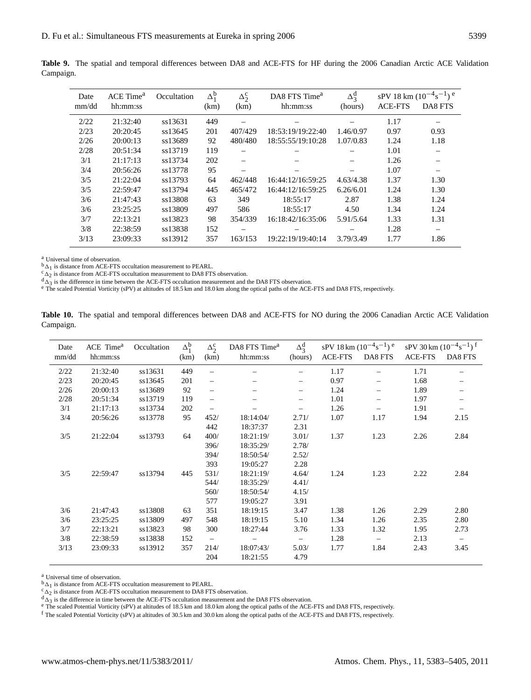|  |  | ب |
|--|--|---|
|  |  |   |
|  |  |   |
|  |  |   |
|  |  |   |
|  |  |   |

| Date  | ACE Time <sup>a</sup> | Occultation | $\Delta_1^b$ | $\Delta_2^c$ | DA8 FTS Time <sup>a</sup> | $\Delta_3^d$ |                | sPV 18 km $(10^{-4}s^{-1})$ <sup>e</sup> |
|-------|-----------------------|-------------|--------------|--------------|---------------------------|--------------|----------------|------------------------------------------|
| mm/dd | hh:mm:ss              |             | (km)         | (km)         | hh:mm:ss                  | (hours)      | <b>ACE-FTS</b> | DA8 FTS                                  |
| 2/22  | 21:32:40              | ss13631     | 449          |              |                           |              | 1.17           |                                          |
| 2/23  | 20:20:45              | ss13645     | 201          | 407/429      | 18:53:19/19:22:40         | 1.46/0.97    | 0.97           | 0.93                                     |
| 2/26  | 20:00:13              | ss13689     | 92           | 480/480      | 18:55:55/19:10:28         | 1.07/0.83    | 1.24           | 1.18                                     |
| 2/28  | 20:51:34              | ss13719     | 119          |              |                           |              | 1.01           |                                          |
| 3/1   | 21:17:13              | ss13734     | 202          |              |                           |              | 1.26           |                                          |
| 3/4   | 20:56:26              | ss13778     | 95           |              |                           |              | 1.07           |                                          |
| 3/5   | 21:22:04              | ss13793     | 64           | 462/448      | 16:44:12/16:59:25         | 4.63/4.38    | 1.37           | 1.30                                     |
| 3/5   | 22:59:47              | ss13794     | 445          | 465/472      | 16:44:12/16:59:25         | 6.26/6.01    | 1.24           | 1.30                                     |
| 3/6   | 21:47:43              | ss13808     | 63           | 349          | 18:55:17                  | 2.87         | 1.38           | 1.24                                     |
| 3/6   | 23:25:25              | ss13809     | 497          | 586          | 18:55:17                  | 4.50         | 1.34           | 1.24                                     |
| 3/7   | 22:13:21              | ss13823     | 98           | 354/339      | 16:18:42/16:35:06         | 5.91/5.64    | 1.33           | 1.31                                     |
| 3/8   | 22:38:59              | ss13838     | 152          |              |                           |              | 1.28           |                                          |
| 3/13  | 23:09:33              | ss13912     | 357          | 163/153      | 19:22:19/19:40:14         | 3.79/3.49    | 1.77           | 1.86                                     |

**Table 9.** The spatial and temporal differences between DA8 and ACE-FTS for HF during the 2006 Canadian Arctic ACE Validation Campaign.

<sup>a</sup> Universal time of observation.

 $b_{\Delta_1}$  is distance from ACE-FTS occultation measurement to PEARL.

 $c_{22}$  is distance from ACE-FTS occultation measurement to DA8 FTS observation.

 $d_{3}$  is the difference in time between the ACE-FTS occultation measurement and the DA8 FTS observation.

<sup>e</sup> The scaled Potential Vorticity (sPV) at altitudes of 18.5 km and 18.0 km along the optical paths of the ACE-FTS and DA8 FTS, respectively.

**Table 10.** The spatial and temporal differences between DA8 and ACE-FTS for NO during the 2006 Canadian Arctic ACE Validation Campaign.

| Date  | ACE Time <sup>a</sup> | Occultation | $\Delta_1^b$ | $\Delta_2^c$             | DA8 FTS Time <sup>a</sup> | $\Delta_3^d$             |                | sPV 18 km $(10^{-4}s^{-1})$ e |                | sPV 30 km $(10^{-4}s^{-1})$ f |
|-------|-----------------------|-------------|--------------|--------------------------|---------------------------|--------------------------|----------------|-------------------------------|----------------|-------------------------------|
| mm/dd | hh:mm:ss              |             | (km)         | (km)                     | hh:mm:ss                  | (hours)                  | <b>ACE-FTS</b> | DA8 FTS                       | <b>ACE-FTS</b> | DA8 FTS                       |
| 2/22  | 21:32:40              | ss13631     | 449          |                          |                           |                          | 1.17           |                               | 1.71           |                               |
| 2/23  | 20:20:45              | ss13645     | 201          |                          |                           |                          | 0.97           |                               | 1.68           |                               |
| 2/26  | 20:00:13              | ss13689     | 92           |                          |                           |                          | 1.24           |                               | 1.89           |                               |
| 2/28  | 20:51:34              | ss13719     | 119          |                          |                           |                          | 1.01           |                               | 1.97           |                               |
| 3/1   | 21:17:13              | ss13734     | 202          | $\equiv$                 |                           |                          | 1.26           |                               | 1.91           |                               |
| 3/4   | 20:56:26              | ss13778     | 95           | 452/                     | 18:14:04/                 | 2.71/                    | 1.07           | 1.17                          | 1.94           | 2.15                          |
|       |                       |             |              | 442                      | 18:37:37                  | 2.31                     |                |                               |                |                               |
| 3/5   | 21:22:04              | ss13793     | 64           | 400/                     | 18:21:19/                 | 3.01/                    | 1.37           | 1.23                          | 2.26           | 2.84                          |
|       |                       |             |              | 396/                     | 18:35:29/                 | 2.78/                    |                |                               |                |                               |
|       |                       |             |              | 394/                     | 18:50:54/                 | 2.52/                    |                |                               |                |                               |
|       |                       |             |              | 393                      | 19:05:27                  | 2.28                     |                |                               |                |                               |
| 3/5   | 22:59:47              | ss13794     | 445          | 531/                     | 18:21:19/                 | 4.64/                    | 1.24           | 1.23                          | 2.22           | 2.84                          |
|       |                       |             |              | 544/                     | 18:35:29/                 | 4.41/                    |                |                               |                |                               |
|       |                       |             |              | 560/                     | 18:50:54/                 | 4.15/                    |                |                               |                |                               |
|       |                       |             |              | 577                      | 19:05:27                  | 3.91                     |                |                               |                |                               |
| 3/6   | 21:47:43              | ss13808     | 63           | 351                      | 18:19:15                  | 3.47                     | 1.38           | 1.26                          | 2.29           | 2.80                          |
| 3/6   | 23:25:25              | ss13809     | 497          | 548                      | 18:19:15                  | 5.10                     | 1.34           | 1.26                          | 2.35           | 2.80                          |
| 3/7   | 22:13:21              | ss13823     | 98           | 300                      | 18:27:44                  | 3.76                     | 1.33           | 1.32                          | 1.95           | 2.73                          |
| 3/8   | 22:38:59              | ss13838     | 152          | $\overline{\phantom{a}}$ |                           | $\overline{\phantom{a}}$ | 1.28           |                               | 2.13           | $\overline{\phantom{0}}$      |
| 3/13  | 23:09:33              | ss13912     | 357          | 214/                     | 18:07:43/                 | 5.03/                    | 1.77           | 1.84                          | 2.43           | 3.45                          |
|       |                       |             |              | 204                      | 18:21:55                  | 4.79                     |                |                               |                |                               |

<sup>a</sup> Universal time of observation.

<sup>f</sup> The scaled Potential Vorticity (sPV) at altitudes of 30.5 km and 30.0 km along the optical paths of the ACE-FTS and DA8 FTS, respectively.

 $b_{\Delta_1}$  is distance from ACE-FTS occultation measurement to PEARL.

 $c_{\Delta_2}$  is distance from ACE-FTS occultation measurement to DA8 FTS observation.

 $d_{\Delta_3}$  is the difference in time between the ACE-FTS occultation measurement and the DA8 FTS observation.

<sup>e</sup> The scaled Potential Vorticity (sPV) at altitudes of 18.5 km and 18.0 km along the optical paths of the ACE-FTS and DA8 FTS, respectively.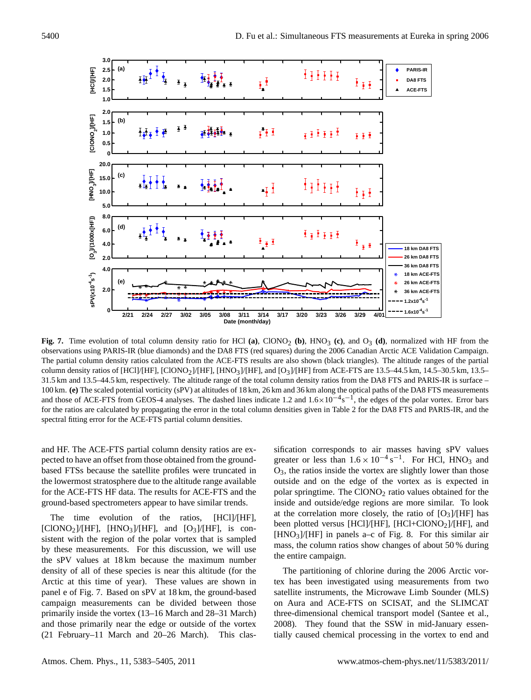

**Fig. 7.** Time evolution of total column density ratio for HCl (a), ClONO<sub>2</sub> (b), HNO<sub>3</sub> (c), and O<sub>3</sub> (d), normalized with HF from the observations using PARIS-IR (blue diamonds) and the DA8 FTS (red squares) during the 2006 Canadian Arctic ACE Validation Campaign. The partial column density ratios calculated from the ACE-FTS results are also shown (black triangles). The altitude ranges of the partial column density ratios of [HCl]/[HF], [ClONO<sub>2</sub>]/[HF], [HNO<sub>3</sub>]/[HF], and [O<sub>3</sub>]/[HF] from ACE-FTS are 13.5–44.5 km, 14.5–30.5 km, 13.5– 31.5 km and 13.5–44.5 km, respectively. The altitude range of the total column density ratios from the DA8 FTS and PARIS-IR is surface – 100 km. **(e)** The scaled potential vorticity (sPV) at altitudes of 18 km, 26 km and 36 km along the optical paths of the DA8 FTS measurements and those of ACE-FTS from GEOS-4 analyses. The dashed lines indicate 1.2 and  $1.6 \times 10^{-4}$ s<sup>-1</sup>, the edges of the polar vortex. Error bars for the ratios are calculated by propagating the error in the total column densities given in Table 2 for the DA8 FTS and PARIS-IR, and the spectral fitting error for the ACE-FTS partial column densities.

and HF. The ACE-FTS partial column density ratios are expected to have an offset from those obtained from the groundbased FTSs because the satellite profiles were truncated in the lowermost stratosphere due to the altitude range available for the ACE-FTS HF data. The results for ACE-FTS and the ground-based spectrometers appear to have similar trends.

The time evolution of the ratios, [HCl]/[HF],  $[ClONO<sub>2</sub>]/[HF]$ ,  $[HNO<sub>3</sub>]/[HF]$ , and  $[O<sub>3</sub>]/[HF]$ , is consistent with the region of the polar vortex that is sampled by these measurements. For this discussion, we will use the sPV values at 18 km because the maximum number density of all of these species is near this altitude (for the Arctic at this time of year). These values are shown in panel e of Fig. 7. Based on sPV at 18 km, the ground-based campaign measurements can be divided between those primarily inside the vortex (13–16 March and 28–31 March) and those primarily near the edge or outside of the vortex (21 February–11 March and 20–26 March). This clas-

sification corresponds to air masses having sPV values greater or less than  $1.6 \times 10^{-4}$  s<sup>-1</sup>. For HCl, HNO<sub>3</sub> and  $O<sub>3</sub>$ , the ratios inside the vortex are slightly lower than those outside and on the edge of the vortex as is expected in polar springtime. The ClONO<sub>2</sub> ratio values obtained for the inside and outside/edge regions are more similar. To look at the correlation more closely, the ratio of  $[O_3]/[HF]$  has been plotted versus [HCl]/[HF], [HCl+ClONO<sub>2</sub>]/[HF], and [HNO3]/[HF] in panels a–c of Fig. 8. For this similar air mass, the column ratios show changes of about 50 % during the entire campaign.

The partitioning of chlorine during the 2006 Arctic vortex has been investigated using measurements from two satellite instruments, the Microwave Limb Sounder (MLS) on Aura and ACE-FTS on SCISAT, and the SLIMCAT three-dimensional chemical transport model (Santee et al., 2008). They found that the SSW in mid-January essentially caused chemical processing in the vortex to end and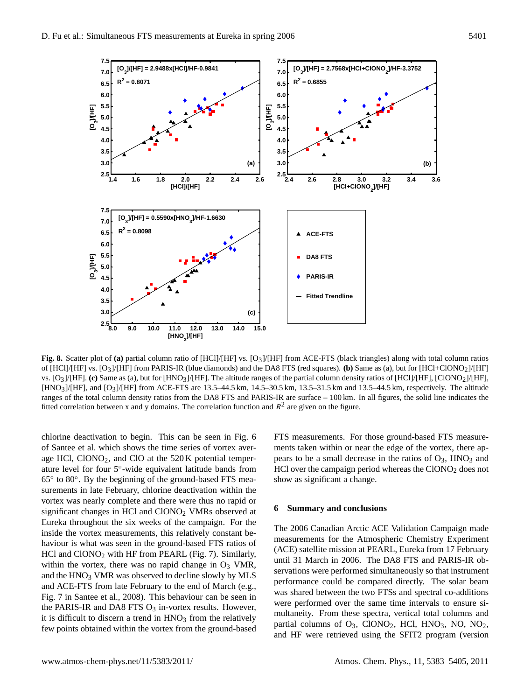

**Fig. 8.** Scatter plot of **(a)** partial column ratio of [HCl]/[HF] vs. [O3]/[HF] from ACE-FTS (black triangles) along with total column ratios of  $[HCl]/[HF]$  vs.  $[O_3]/[HF]$  from PARIS-IR (blue diamonds) and the DA8 FTS (red squares). **(b)** Same as (a), but for  $[HCl+ClONO<sub>2</sub>]/[HF]$ vs. [O<sub>3</sub>]/[HF]. (c) Same as (a), but for [HNO<sub>3</sub>]/[HF]. The altitude ranges of the partial column density ratios of [HCl]/[HF], [ClONO<sub>2</sub>]/[HF], [HNO3]/[HF], and [O3]/[HF] from ACE-FTS are 13.5–44.5 km, 14.5–30.5 km, 13.5–31.5 km and 13.5–44.5 km, respectively. The altitude ranges of the total column density ratios from the DA8 FTS and PARIS-IR are surface – 100 km. In all figures, the solid line indicates the fitted correlation between x and y domains. The correlation function and  $R^2$  are given on the figure.

chlorine deactivation to begin. This can be seen in Fig. 6 of Santee et al. which shows the time series of vortex average HCl,  $CIONO<sub>2</sub>$ , and  $CIO$  at the 520 K potential temperature level for four 5◦ -wide equivalent latitude bands from 65◦ to 80◦ . By the beginning of the ground-based FTS measurements in late February, chlorine deactivation within the vortex was nearly complete and there were thus no rapid or significant changes in HCl and ClONO<sub>2</sub> VMRs observed at Eureka throughout the six weeks of the campaign. For the inside the vortex measurements, this relatively constant behaviour is what was seen in the ground-based FTS ratios of HCl and ClONO<sub>2</sub> with HF from PEARL (Fig. 7). Similarly, within the vortex, there was no rapid change in  $O_3$  VMR, and the  $HNO<sub>3</sub>$  VMR was observed to decline slowly by MLS and ACE-FTS from late February to the end of March (e.g., Fig. 7 in Santee et al., 2008). This behaviour can be seen in the PARIS-IR and DA8 FTS  $O_3$  in-vortex results. However, it is difficult to discern a trend in  $HNO<sub>3</sub>$  from the relatively few points obtained within the vortex from the ground-based FTS measurements. For those ground-based FTS measurements taken within or near the edge of the vortex, there appears to be a small decrease in the ratios of  $O_3$ ,  $HNO_3$  and  $HC1$  over the campaign period whereas the  $ClONO<sub>2</sub>$  does not show as significant a change.

## **6 Summary and conclusions**

The 2006 Canadian Arctic ACE Validation Campaign made measurements for the Atmospheric Chemistry Experiment (ACE) satellite mission at PEARL, Eureka from 17 February until 31 March in 2006. The DA8 FTS and PARIS-IR observations were performed simultaneously so that instrument performance could be compared directly. The solar beam was shared between the two FTSs and spectral co-additions were performed over the same time intervals to ensure simultaneity. From these spectra, vertical total columns and partial columns of  $O_3$ , ClONO<sub>2</sub>, HCl, HNO<sub>3</sub>, NO, NO<sub>2</sub>, and HF were retrieved using the SFIT2 program (version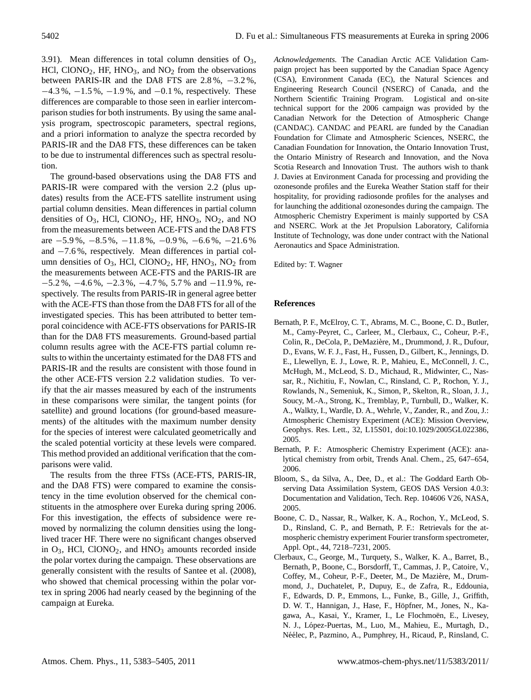3.91). Mean differences in total column densities of  $O_3$ , HCl, ClONO<sub>2</sub>, HF, HNO<sub>3</sub>, and NO<sub>2</sub> from the observations between PARIS-IR and the DA8 FTS are 2.8 %, −3.2 %, −4.3 %, −1.5 %, −1.9 %, and −0.1 %, respectively. These differences are comparable to those seen in earlier intercomparison studies for both instruments. By using the same analysis program, spectroscopic parameters, spectral regions, and a priori information to analyze the spectra recorded by PARIS-IR and the DA8 FTS, these differences can be taken to be due to instrumental differences such as spectral resolution.

The ground-based observations using the DA8 FTS and PARIS-IR were compared with the version 2.2 (plus updates) results from the ACE-FTS satellite instrument using partial column densities. Mean differences in partial column densities of  $O_3$ , HCl, ClONO<sub>2</sub>, HF, HNO<sub>3</sub>, NO<sub>2</sub>, and NO from the measurements between ACE-FTS and the DA8 FTS are  $-5.9\%$ ,  $-8.5\%$ ,  $-11.8\%$ ,  $-0.9\%$ ,  $-6.6\%$ ,  $-21.6\%$ and −7.6 %, respectively. Mean differences in partial column densities of  $O_3$ , HCl, ClONO<sub>2</sub>, HF, HNO<sub>3</sub>, NO<sub>2</sub> from the measurements between ACE-FTS and the PARIS-IR are −5.2 %, −4.6 %, −2.3 %, −4.7 %, 5.7 % and −11.9 %, respectively. The results from PARIS-IR in general agree better with the ACE-FTS than those from the DA8 FTS for all of the investigated species. This has been attributed to better temporal coincidence with ACE-FTS observations for PARIS-IR than for the DA8 FTS measurements. Ground-based partial column results agree with the ACE-FTS partial column results to within the uncertainty estimated for the DA8 FTS and PARIS-IR and the results are consistent with those found in the other ACE-FTS version 2.2 validation studies. To verify that the air masses measured by each of the instruments in these comparisons were similar, the tangent points (for satellite) and ground locations (for ground-based measurements) of the altitudes with the maximum number density for the species of interest were calculated geometrically and the scaled potential vorticity at these levels were compared. This method provided an additional verification that the comparisons were valid.

The results from the three FTSs (ACE-FTS, PARIS-IR, and the DA8 FTS) were compared to examine the consistency in the time evolution observed for the chemical constituents in the atmosphere over Eureka during spring 2006. For this investigation, the effects of subsidence were removed by normalizing the column densities using the longlived tracer HF. There were no significant changes observed in  $O_3$ , HCl, ClON $O_2$ , and HN $O_3$  amounts recorded inside the polar vortex during the campaign. These observations are generally consistent with the results of Santee et al. (2008), who showed that chemical processing within the polar vortex in spring 2006 had nearly ceased by the beginning of the campaign at Eureka.

*Acknowledgements.* The Canadian Arctic ACE Validation Campaign project has been supported by the Canadian Space Agency (CSA), Environment Canada (EC), the Natural Sciences and Engineering Research Council (NSERC) of Canada, and the Northern Scientific Training Program. Logistical and on-site technical support for the 2006 campaign was provided by the Canadian Network for the Detection of Atmospheric Change (CANDAC). CANDAC and PEARL are funded by the Canadian Foundation for Climate and Atmospheric Sciences, NSERC, the Canadian Foundation for Innovation, the Ontario Innovation Trust, the Ontario Ministry of Research and Innovation, and the Nova Scotia Research and Innovation Trust. The authors wish to thank J. Davies at Environment Canada for processing and providing the ozonesonde profiles and the Eureka Weather Station staff for their hospitality, for providing radiosonde profiles for the analyses and for launching the additional ozonesondes during the campaign. The Atmospheric Chemistry Experiment is mainly supported by CSA and NSERC. Work at the Jet Propulsion Laboratory, California Institute of Technology, was done under contract with the National Aeronautics and Space Administration.

Edited by: T. Wagner

# **References**

- Bernath, P. F., McElroy, C. T., Abrams, M. C., Boone, C. D., Butler, M., Camy-Peyret, C., Carleer, M., Clerbaux, C., Coheur, P.-F., Colin, R., DeCola, P., DeMaziere, M., Drummond, J. R., Dufour, ` D., Evans, W. F. J., Fast, H., Fussen, D., Gilbert, K., Jennings, D. E., Llewellyn, E. J., Lowe, R. P., Mahieu, E., McConnell, J. C., McHugh, M., McLeod, S. D., Michaud, R., Midwinter, C., Nassar, R., Nichitiu, F., Nowlan, C., Rinsland, C. P., Rochon, Y. J., Rowlands, N., Semeniuk, K., Simon, P., Skelton, R., Sloan, J. J., Soucy, M.-A., Strong, K., Tremblay, P., Turnbull, D., Walker, K. A., Walkty, I., Wardle, D. A., Wehrle, V., Zander, R., and Zou, J.: Atmospheric Chemistry Experiment (ACE): Mission Overview, Geophys. Res. Lett., 32, L15S01, [doi:10.1029/2005GL022386,](http://dx.doi.org/10.1029/2005GL022386) 2005.
- Bernath, P. F.: Atmospheric Chemistry Experiment (ACE): analytical chemistry from orbit, Trends Anal. Chem., 25, 647–654, 2006.
- Bloom, S., da Silva, A., Dee, D., et al.: The Goddard Earth Observing Data Assimilation System, GEOS DAS Version 4.0.3: Documentation and Validation, Tech. Rep. 104606 V26, NASA, 2005.
- Boone, C. D., Nassar, R., Walker, K. A., Rochon, Y., McLeod, S. D., Rinsland, C. P., and Bernath, P. F.: Retrievals for the atmospheric chemistry experiment Fourier transform spectrometer, Appl. Opt., 44, 7218–7231, 2005.
- Clerbaux, C., George, M., Turquety, S., Walker, K. A., Barret, B., Bernath, P., Boone, C., Borsdorff, T., Cammas, J. P., Catoire, V., Coffey, M., Coheur, P.-F., Deeter, M., De Maziere, M., Drum- ` mond, J., Duchatelet, P., Dupuy, E., de Zafra, R., Eddounia, F., Edwards, D. P., Emmons, L., Funke, B., Gille, J., Griffith, D. W. T., Hannigan, J., Hase, F., Höpfner, M., Jones, N., Kagawa, A., Kasai, Y., Kramer, I., Le Flochmoën, E., Livesey, N. J., López-Puertas, M., Luo, M., Mahieu, E., Murtagh, D., Néélec, P., Pazmino, A., Pumphrey, H., Ricaud, P., Rinsland, C.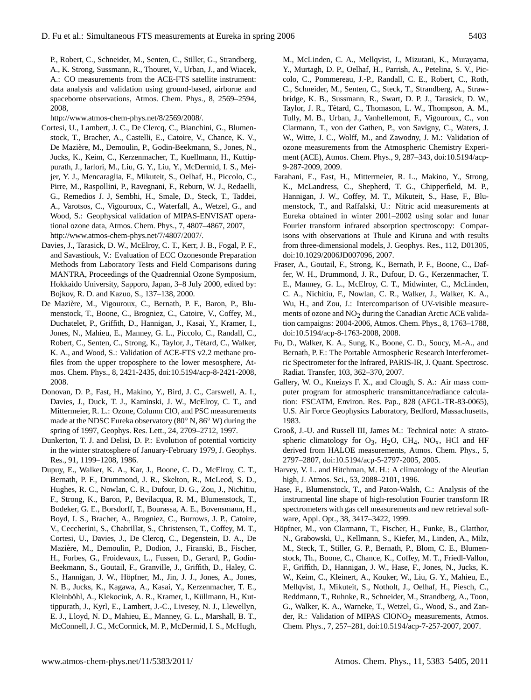P., Robert, C., Schneider, M., Senten, C., Stiller, G., Strandberg, A., K. Strong, Sussmann, R., Thouret, V., Urban, J., and Wiacek, A.: CO measurements from the ACE-FTS satellite instrument: data analysis and validation using ground-based, airborne and spaceborne observations, Atmos. Chem. Phys., 8, 2569–2594, 2008,

[http://www.atmos-chem-phys.net/8/2569/2008/.](http://www.atmos-chem-phys.net/8/2569/2008/)

- Cortesi, U., Lambert, J. C., De Clercq, C., Bianchini, G., Blumenstock, T., Bracher, A., Castelli, E., Catoire, V., Chance, K. V., De Maziere, M., Demoulin, P., Godin-Beekmann, S., Jones, N., ` Jucks, K., Keim, C., Kerzenmacher, T., Kuellmann, H., Kuttippurath, J., Iarlori, M., Liu, G. Y., Liu, Y., McDermid, I. S., Meijer, Y. J., Mencaraglia, F., Mikuteit, S., Oelhaf, H., Piccolo, C., Pirre, M., Raspollini, P., Ravegnani, F., Reburn, W. J., Redaelli, G., Remedios J. J, Sembhi, H., Smale, D., Steck, T., Taddei, A., Varotsos, C., Vigouroux, C., Waterfall, A., Wetzel, G., and Wood, S.: Geophysical validation of MIPAS-ENVISAT operational ozone data, Atmos. Chem. Phys., 7, 4807–4867, 2007, [http://www.atmos-chem-phys.net/7/4807/2007/.](http://www.atmos-chem-phys.net/7/4807/2007/)
- Davies, J., Tarasick, D. W., McElroy, C. T., Kerr, J. B., Fogal, P. F., and Savastiouk, V.: Evaluation of ECC Ozonesonde Preparation Methods from Laboratory Tests and Field Comparisons during MANTRA, Proceedings of the Quadrennial Ozone Symposium, Hokkaido University, Sapporo, Japan, 3–8 July 2000, edited by: Bojkov, R. D. and Kazuo, S., 137–138, 2000.
- De Mazière, M., Vigouroux, C., Bernath, P. F., Baron, P., Blumenstock, T., Boone, C., Brogniez, C., Catoire, V., Coffey, M., Duchatelet, P., Griffith, D., Hannigan, J., Kasai, Y., Kramer, I., Jones, N., Mahieu, E., Manney, G. L., Piccolo, C., Randall, C., Robert, C., Senten, C., Strong, K., Taylor, J., Tetard, C., Walker, ´ K. A., and Wood, S.: Validation of ACE-FTS v2.2 methane profiles from the upper troposphere to the lower mesosphere, Atmos. Chem. Phys., 8, 2421-2435, [doi:10.5194/acp-8-2421-2008,](http://dx.doi.org/10.5194/acp-8-2421-2008) 2008.
- Donovan, D. P., Fast, H., Makino, Y., Bird, J. C., Carswell, A. I., Davies, J., Duck, T. J., Kaminski, J. W., McElroy, C. T., and Mittermeier, R. L.: Ozone, Column ClO, and PSC measurements made at the NDSC Eureka observatory (80◦ N, 86◦ W) during the spring of 1997, Geophys. Res. Lett., 24, 2709–2712, 1997.
- Dunkerton, T. J. and Delisi, D. P.: Evolution of potential vorticity in the winter stratosphere of January-February 1979, J. Geophys. Res., 91, 1199–1208, 1986.
- Dupuy, E., Walker, K. A., Kar, J., Boone, C. D., McElroy, C. T., Bernath, P. F., Drummond, J. R., Skelton, R., McLeod, S. D., Hughes, R. C., Nowlan, C. R., Dufour, D. G., Zou, J., Nichitiu, F., Strong, K., Baron, P., Bevilacqua, R. M., Blumenstock, T., Bodeker, G. E., Borsdorff, T., Bourassa, A. E., Bovensmann, H., Boyd, I. S., Bracher, A., Brogniez, C., Burrows, J. P., Catoire, V., Ceccherini, S., Chabrillat, S., Christensen, T., Coffey, M. T., Cortesi, U., Davies, J., De Clercq, C., Degenstein, D. A., De Maziere, M., Demoulin, P., Dodion, J., Firanski, B., Fischer, ` H., Forbes, G., Froidevaux, L., Fussen, D., Gerard, P., Godin-Beekmann, S., Goutail, F., Granville, J., Griffith, D., Haley, C. S., Hannigan, J. W., Höpfner, M., Jin, J. J., Jones, A., Jones, N. B., Jucks, K., Kagawa, A., Kasai, Y., Kerzenmacher, T. E., Kleinböhl, A., Klekociuk, A. R., Kramer, I., Küllmann, H., Kuttippurath, J., Kyrl, E., Lambert, J.-C., Livesey, N. J., Llewellyn, E. J., Lloyd, N. D., Mahieu, E., Manney, G. L., Marshall, B. T., McConnell, J. C., McCormick, M. P., McDermid, I. S., McHugh,

M., McLinden, C. A., Mellqvist, J., Mizutani, K., Murayama, Y., Murtagh, D. P., Oelhaf, H., Parrish, A., Petelina, S. V., Piccolo, C., Pommereau, J.-P., Randall, C. E., Robert, C., Roth, C., Schneider, M., Senten, C., Steck, T., Strandberg, A., Strawbridge, K. B., Sussmann, R., Swart, D. P. J., Tarasick, D. W., Taylor, J. R., Tétard, C., Thomason, L. W., Thompson, A. M., Tully, M. B., Urban, J., Vanhellemont, F., Vigouroux, C., von Clarmann, T., von der Gathen, P., von Savigny, C., Waters, J. W., Witte, J. C., Wolff, M., and Zawodny, J. M.: Validation of ozone measurements from the Atmospheric Chemistry Experiment (ACE), Atmos. Chem. Phys., 9, 287–343, [doi:10.5194/acp-](http://dx.doi.org/10.5194/acp-9-287-2009)[9-287-2009,](http://dx.doi.org/10.5194/acp-9-287-2009) 2009.

- Farahani, E., Fast, H., Mittermeier, R. L., Makino, Y., Strong, K., McLandress, C., Shepherd, T. G., Chipperfield, M. P., Hannigan, J. W., Coffey, M. T., Mikuteit, S., Hase, F., Blumenstock, T., and Raffalski, U.: Nitric acid measurements at Eureka obtained in winter 2001–2002 using solar and lunar Fourier transform infrared absorption spectroscopy: Comparisons with observations at Thule and Kiruna and with results from three-dimensional models, J. Geophys. Res., 112, D01305, [doi:10.1029/2006JD007096,](http://dx.doi.org/10.1029/2006JD007096) 2007.
- Fraser, A., Goutail, F., Strong, K., Bernath, P. F., Boone, C., Daffer, W. H., Drummond, J. R., Dufour, D. G., Kerzenmacher, T. E., Manney, G. L., McElroy, C. T., Midwinter, C., McLinden, C. A., Nichitiu, F., Nowlan, C. R., Walker, J., Walker, K. A., Wu, H., and Zou, J.: Intercomparison of UV-visible measurements of ozone and  $NO<sub>2</sub>$  during the Canadian Arctic ACE validation campaigns: 2004-2006, Atmos. Chem. Phys., 8, 1763–1788, [doi:10.5194/acp-8-1763-2008,](http://dx.doi.org/10.5194/acp-8-1763-2008) 2008.
- Fu, D., Walker, K. A., Sung, K., Boone, C. D., Soucy, M.-A., and Bernath, P. F.: The Portable Atmospheric Research Interferometric Spectrometer for the Infrared, PARIS-IR, J. Quant. Spectrosc. Radiat. Transfer, 103, 362–370, 2007.
- Gallery, W. O., Kneizys F. X., and Clough, S. A.: Air mass computer program for atmospheric transmittance/radiance calculation: FSCATM, Environ. Res. Pap., 828 (AFGL-TR-83-0065), U.S. Air Force Geophysics Laboratory, Bedford, Massachusetts, 1983.
- Grooß, J.-U. and Russell III, James M.: Technical note: A stratospheric climatology for  $O_3$ ,  $H_2O$ ,  $CH_4$ ,  $NO_x$ ,  $HCl$  and  $HF$ derived from HALOE measurements, Atmos. Chem. Phys., 5, 2797–2807, [doi:10.5194/acp-5-2797-2005,](http://dx.doi.org/10.5194/acp-5-2797-2005) 2005.
- Harvey, V. L. and Hitchman, M. H.: A climatology of the Aleutian high, J. Atmos. Sci., 53, 2088–2101, 1996.
- Hase, F., Blumenstock, T., and Paton-Walsh, C.: Analysis of the instrumental line shape of high-resolution Fourier transform IR spectrometers with gas cell measurements and new retrieval software, Appl. Opt., 38, 3417–3422, 1999.
- Höpfner, M., von Clarmann, T., Fischer, H., Funke, B., Glatthor, N., Grabowski, U., Kellmann, S., Kiefer, M., Linden, A., Milz, M., Steck, T., Stiller, G. P., Bernath, P., Blom, C. E., Blumenstock, Th., Boone, C., Chance, K., Coffey, M. T., Friedl-Vallon, F., Griffith, D., Hannigan, J. W., Hase, F., Jones, N., Jucks, K. W., Keim, C., Kleinert, A., Kouker, W., Liu, G. Y., Mahieu, E., Mellqvist, J., Mikuteit, S., Notholt, J., Oelhaf, H., Piesch, C., Reddmann, T., Ruhnke, R., Schneider, M., Strandberg, A., Toon, G., Walker, K. A., Warneke, T., Wetzel, G., Wood, S., and Zander, R.: Validation of MIPAS ClONO<sub>2</sub> measurements, Atmos. Chem. Phys., 7, 257–281, [doi:10.5194/acp-7-257-2007,](http://dx.doi.org/10.5194/acp-7-257-2007) 2007.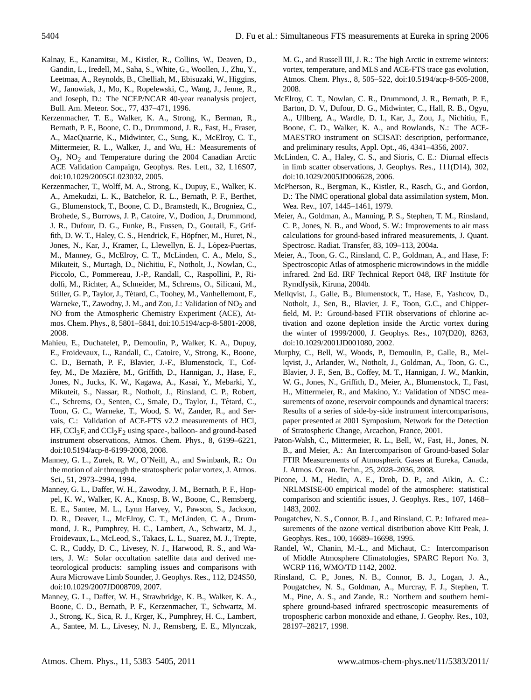- Kalnay, E., Kanamitsu, M., Kistler, R., Collins, W., Deaven, D., Gandin, L., Iredell, M., Saha, S., White, G., Woollen, J., Zhu, Y., Leetmaa, A., Reynolds, B., Chelliah, M., Ebisuzaki, W., Higgins, W., Janowiak, J., Mo, K., Ropelewski, C., Wang, J., Jenne, R., and Joseph, D.: The NCEP/NCAR 40-year reanalysis project, Bull. Am. Meteor. Soc., 77, 437–471, 1996.
- Kerzenmacher, T. E., Walker, K. A., Strong, K., Berman, R., Bernath, P. F., Boone, C. D., Drummond, J. R., Fast, H., Fraser, A., MacQuarrie, K., Midwinter, C., Sung, K., McElroy, C. T., Mittermeier, R. L., Walker, J., and Wu, H.: Measurements of  $O_3$ ,  $NO_2$  and Temperature during the 2004 Canadian Arctic ACE Validation Campaign, Geophys. Res. Lett., 32, L16S07, [doi:10.1029/2005GL023032,](http://dx.doi.org/10.1029/2005GL023032) 2005.
- Kerzenmacher, T., Wolff, M. A., Strong, K., Dupuy, E., Walker, K. A., Amekudzi, L. K., Batchelor, R. L., Bernath, P. F., Berthet, G., Blumenstock, T., Boone, C. D., Bramstedt, K., Brogniez, C., Brohede, S., Burrows, J. P., Catoire, V., Dodion, J., Drummond, J. R., Dufour, D. G., Funke, B., Fussen, D., Goutail, F., Griffith, D. W. T., Haley, C. S., Hendrick, F., Höpfner, M., Huret, N., Jones, N., Kar, J., Kramer, I., Llewellyn, E. J., López-Puertas, M., Manney, G., McElroy, C. T., McLinden, C. A., Melo, S., Mikuteit, S., Murtagh, D., Nichitiu, F., Notholt, J., Nowlan, C., Piccolo, C., Pommereau, J.-P., Randall, C., Raspollini, P., Ridolfi, M., Richter, A., Schneider, M., Schrems, O., Silicani, M., Stiller, G. P., Taylor, J., Tétard, C., Toohey, M., Vanhellemont, F., Warneke, T., Zawodny, J. M., and Zou, J.: Validation of NO<sub>2</sub> and NO from the Atmospheric Chemistry Experiment (ACE), Atmos. Chem. Phys., 8, 5801–5841, [doi:10.5194/acp-8-5801-2008,](http://dx.doi.org/10.5194/acp-8-5801-2008) 2008.
- Mahieu, E., Duchatelet, P., Demoulin, P., Walker, K. A., Dupuy, E., Froidevaux, L., Randall, C., Catoire, V., Strong, K., Boone, C. D., Bernath, P. F., Blavier, J.-F., Blumenstock, T., Coffey, M., De Maziere, M., Griffith, D., Hannigan, J., Hase, F., ` Jones, N., Jucks, K. W., Kagawa, A., Kasai, Y., Mebarki, Y., Mikuteit, S., Nassar, R., Notholt, J., Rinsland, C. P., Robert, C., Schrems, O., Senten, C., Smale, D., Taylor, J., Tetard, C., ´ Toon, G. C., Warneke, T., Wood, S. W., Zander, R., and Servais, C.: Validation of ACE-FTS v2.2 measurements of HCl, HF,  $CCl_3F$ , and  $CCl_2F_2$  using space-, balloon- and ground-based instrument observations, Atmos. Chem. Phys., 8, 6199–6221, [doi:10.5194/acp-8-6199-2008,](http://dx.doi.org/10.5194/acp-8-6199-2008) 2008.
- Manney, G. L., Zurek, R. W., O'Neill, A., and Swinbank, R.: On the motion of air through the stratospheric polar vortex, J. Atmos. Sci., 51, 2973–2994, 1994.
- Manney, G. L., Daffer, W. H., Zawodny, J. M., Bernath, P. F., Hoppel, K. W., Walker, K. A., Knosp, B. W., Boone, C., Remsberg, E. E., Santee, M. L., Lynn Harvey, V., Pawson, S., Jackson, D. R., Deaver, L., McElroy, C. T., McLinden, C. A., Drummond, J. R., Pumphrey, H. C., Lambert, A., Schwartz, M. J., Froidevaux, L., McLeod, S., Takacs, L. L., Suarez, M. J., Trepte, C. R., Cuddy, D. C., Livesey, N. J., Harwood, R. S., and Waters, J. W.: Solar occultation satellite data and derived meteorological products: sampling issues and comparisons with Aura Microwave Limb Sounder, J. Geophys. Res., 112, D24S50, [doi:10.1029/2007JD008709,](http://dx.doi.org/10.1029/2007JD008709) 2007.
- Manney, G. L., Daffer, W. H., Strawbridge, K. B., Walker, K. A., Boone, C. D., Bernath, P. F., Kerzenmacher, T., Schwartz, M. J., Strong, K., Sica, R. J., Krger, K., Pumphrey, H. C., Lambert, A., Santee, M. L., Livesey, N. J., Remsberg, E. E., Mlynczak,

M. G., and Russell III, J. R.: The high Arctic in extreme winters: vortex, temperature, and MLS and ACE-FTS trace gas evolution, Atmos. Chem. Phys., 8, 505–522, [doi:10.5194/acp-8-505-2008,](http://dx.doi.org/10.5194/acp-8-505-2008) 2008.

- McElroy, C. T., Nowlan, C. R., Drummond, J. R., Bernath, P. F., Barton, D. V., Dufour, D. G., Midwinter, C., Hall, R. B., Ogyu, A., Ullberg, A., Wardle, D. I., Kar, J., Zou, J., Nichitiu, F., Boone, C. D., Walker, K. A., and Rowlands, N.: The ACE-MAESTRO instrument on SCISAT: description, performance, and preliminary results, Appl. Opt., 46, 4341–4356, 2007.
- McLinden, C. A., Haley, C. S., and Sioris, C. E.: Diurnal effects in limb scatter observations, J. Geophys. Res., 111(D14), 302, [doi:10.1029/2005JD006628,](http://dx.doi.org/10.1029/2005JD006628) 2006.
- McPherson, R., Bergman, K., Kistler, R., Rasch, G., and Gordon, D.: The NMC operational global data assimilation system, Mon. Wea. Rev., 107, 1445–1461, 1979.
- Meier, A., Goldman, A., Manning, P. S., Stephen, T. M., Rinsland, C. P., Jones, N. B., and Wood, S. W.: Improvements to air mass calculations for ground-based infrared measurements, J. Quant. Spectrosc. Radiat. Transfer, 83, 109–113, 2004a.
- Meier, A., Toon, G. C., Rinsland, C. P., Goldman, A., and Hase, F: Spectroscopic Atlas of atmospheric microwindows in the middle infrared. 2nd Ed. IRF Technical Report 048, IRF Institute for¨ Rymdfysik, Kiruna, 2004b.
- Mellqvist, J., Galle, B., Blumenstock, T., Hase, F., Yashcov, D., Notholt, J., Sen, B., Blavier, J. F., Toon, G.C., and Chipperfield, M. P.: Ground-based FTIR observations of chlorine activation and ozone depletion inside the Arctic vortex during the winter of 1999/2000, J. Geophys. Res., 107(D20), 8263, [doi:10.1029/2001JD001080,](http://dx.doi.org/10.1029/2001JD001080) 2002.
- Murphy, C., Bell, W., Woods, P., Demoulin, P., Galle, B., Mellqvist, J., Arlander, W., Notholt, J., Goldman, A., Toon, G. C., Blavier, J. F., Sen, B., Coffey, M. T., Hannigan, J. W., Mankin, W. G., Jones, N., Griffith, D., Meier, A., Blumenstock, T., Fast, H., Mittermeier, R., and Makino, Y.: Validation of NDSC measurements of ozone, reservoir compounds and dynamical tracers: Results of a series of side-by-side instrument intercomparisons, paper presented at 2001 Symposium, Network for the Detection of Stratospheric Change, Arcachon, France, 2001.
- Paton-Walsh, C., Mittermeier, R. L., Bell, W., Fast, H., Jones, N. B., and Meier, A.: An Intercomparison of Ground-based Solar FTIR Measurements of Atmospheric Gases at Eureka, Canada, J. Atmos. Ocean. Techn., 25, 2028–2036, 2008.
- Picone, J. M., Hedin, A. E., Drob, D. P., and Aikin, A. C.: NRLMSISE-00 empirical model of the atmosphere: statistical comparison and scientific issues, J. Geophys. Res., 107, 1468– 1483, 2002.
- Pougatchev, N. S., Connor, B. J., and Rinsland, C. P.: Infrared measurements of the ozone vertical distribution above Kitt Peak, J. Geophys. Res., 100, 16689–16698, 1995.
- Randel, W., Chanin, M.-L., and Michaut, C.: Intercomparison of Middle Atmosphere Climatologies, SPARC Report No. 3, WCRP 116, WMO/TD 1142, 2002.
- Rinsland, C. P., Jones, N. B., Connor, B. J., Logan, J. A., Pougatchev, N. S., Goldman, A., Murcray, F. J., Stephen, T. M., Pine, A. S., and Zande, R.: Northern and southern hemisphere ground-based infrared spectroscopic measurements of tropospheric carbon monoxide and ethane, J. Geophy. Res., 103, 28197–28217, 1998.